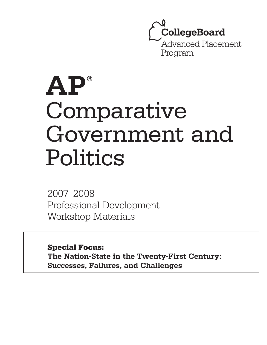**CollegeBoard** Advanced Placement Program

# **AP** ® Comparative Government and Politics

2007–2008 Professional Development Workshop Materials

Special Focus:

**The Nation-State in the Twenty-First Century: Successes, Failures, and Challenges**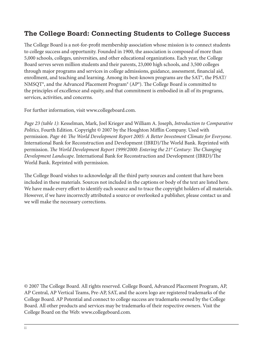# **The College Board: Connecting Students to College Success**

The College Board is a not-for-profit membership association whose mission is to connect students to college success and opportunity. Founded in 1900, the association is composed of more than 5,000 schools, colleges, universities, and other educational organizations. Each year, the College Board serves seven million students and their parents, 23,000 high schools, and 3,500 colleges through major programs and services in college admissions, guidance, assessment, financial aid, enrollment, and teaching and learning. Among its best-known programs are the SAT<sup>®</sup>, the PSAT/ NMSQT<sup>®</sup>, and the Advanced Placement Program<sup>®</sup> (AP<sup>®</sup>). The College Board is committed to the principles of excellence and equity, and that commitment is embodied in all of its programs, services, activities, and concerns.

For further information, visit www.collegeboard.com.

*Page 23 (table 1)*: Kesselman, Mark, Joel Krieger and William A. Joseph, *Introduction to Comparative Politics,* Fourth Edition. Copyright © 2007 by the Houghton Mifflin Company. Used with permission. *Page 44: The World Development Report 2005: A Better Investment Climate for Everyone.* International Bank for Reconstruction and Development (IBRD)/The World Bank. Reprinted with permission. *The World Development Report 1999/2000: Entering the 21<sup>st</sup> Century: The Changing Development Landscape*. International Bank for Reconstruction and Development (IBRD)/The World Bank. Reprinted with permission.

The College Board wishes to acknowledge all the third party sources and content that have been included in these materials. Sources not included in the captions or body of the text are listed here. We have made every effort to identify each source and to trace the copyright holders of all materials. However, if we have incorrectly attributed a source or overlooked a publisher, please contact us and we will make the necessary corrections.

© 2007 The College Board. All rights reserved. College Board, Advanced Placement Program, AP, AP Central, AP Vertical Teams, Pre-AP, SAT, and the acorn logo are registered trademarks of the College Board. AP Potential and connect to college success are trademarks owned by the College Board. All other products and services may be trademarks of their respective owners. Visit the College Board on the Web: www.collegeboard.com.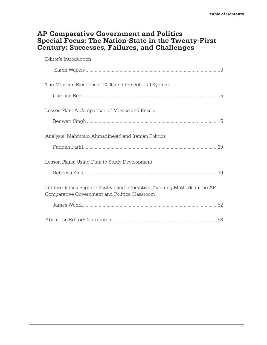# **AP Comparative Government and Politics Special Focus: The Nation-State in the Twenty-First Century: Successes, Failures, and Challenges**

| Editor's Introduction                                                                                                      |
|----------------------------------------------------------------------------------------------------------------------------|
|                                                                                                                            |
| The Mexican Elections of 2006 and the Political System                                                                     |
|                                                                                                                            |
| Lesson Plan: A Comparison of Mexico and Russia                                                                             |
|                                                                                                                            |
| Analysis: Mahmoud Ahmadinejad and Iranian Politics                                                                         |
|                                                                                                                            |
| Lesson Plans: Using Data to Study Development                                                                              |
| .39                                                                                                                        |
| Let the Games Begin! Effective and Interactive Teaching Methods in the AP<br>Comparative Government and Politics Classroom |
|                                                                                                                            |
|                                                                                                                            |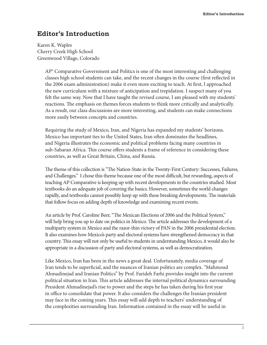# **Editor's Introduction**

Karen K. Waples Cherry Creek High School Greenwood Village, Colorado

> AP® Comparative Government and Politics is one of the most interesting and challenging classes high school students can take, and the recent changes in the course (first reflected in the 2006 exam administration) make it even more exciting to teach. At first, I approached the new curriculum with a mixture of anticipation and trepidation. I suspect many of you felt the same way. Now that I have taught the revised course, I am pleased with my students' reactions. The emphasis on themes forces students to think more critically and analytically. As a result, our class discussions are more interesting, and students can make connections more easily between concepts and countries.

Requiring the study of Mexico, Iran, and Nigeria has expanded my students' horizons. Mexico has important ties to the United States, Iran often dominates the headlines, and Nigeria illustrates the economic and political problems facing many countries in sub-Saharan Africa. This course offers students a frame of reference in considering these countries, as well as Great Britain, China, and Russia.

The theme of this collection is "The Nation-State in the Twenty-First Century: Successes, Failures, and Challenges." I chose this theme because one of the most difficult, but rewarding, aspects of teaching AP Comparative is keeping up with recent developments in the countries studied. Most textbooks do an adequate job of covering the basics. However, sometimes the world changes rapidly, and textbooks cannot possibly keep up with these breaking developments. The materials that follow focus on adding depth of knowledge and examining recent events.

An article by Prof. Caroline Beer, "The Mexican Elections of 2006 and the Political System," will help bring you up to date on politics in Mexico. The article addresses the development of a multiparty system in Mexico and the razor-thin victory of PAN in the 2006 presidential election. It also examines how Mexico's party and electoral systems have strengthened democracy in that country. This essay will not only be useful to students in understanding Mexico, it would also be appropriate in a discussion of party and electoral systems, as well as democratization.

Like Mexico, Iran has been in the news a great deal. Unfortunately, media coverage of Iran tends to be superficial, and the nuances of Iranian politics are complex. "Mahmoud Ahmadinejad and Iranian Politics" by Prof. Farideh Farhi provides insight into the current political situation in Iran. This article addresses the internal political dynamics surrounding President Ahmadinejad's rise to power and the steps he has taken during his first year in office to consolidate that power. It also considers the challenges the Iranian president may face in the coming years. This essay will add depth to teachers' understanding of the complexities surrounding Iran. Information contained in the essay will be useful in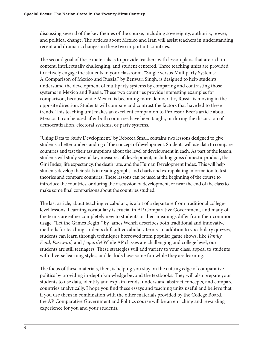discussing several of the key themes of the course, including sovereignty, authority, power, and political change. The articles about Mexico and Iran will assist teachers in understanding recent and dramatic changes in these two important countries.

The second goal of these materials is to provide teachers with lesson plans that are rich in content, intellectually challenging, and student centered. Three teaching units are provided to actively engage the students in your classroom. "Single versus Multiparty Systems: A Comparison of Mexico and Russia," by Benwari Singh, is designed to help students understand the development of multiparty systems by comparing and contrasting those systems in Mexico and Russia. These two countries provide interesting examples for comparison, because while Mexico is becoming more democratic, Russia is moving in the opposite direction. Students will compare and contrast the factors that have led to these trends. This teaching unit makes an excellent companion to Professor Beer's article about Mexico. It can be used after both countries have been taught, or during the discussion of democratization, electoral systems, or party systems.

"Using Data to Study Development," by Rebecca Small, contains two lessons designed to give students a better understanding of the concept of development. Students will use data to compare countries and test their assumptions about the level of development in each. As part of the lesson, students will study several key measures of development, including gross domestic product, the Gini Index, life expectancy, the death rate, and the Human Development Index. This will help students develop their skills in reading graphs and charts and extrapolating information to test theories and compare countries. These lessons can be used at the beginning of the course to introduce the countries, or during the discussion of development, or near the end of the class to make some final comparisons about the countries studied.

The last article, about teaching vocabulary, is a bit of a departure from traditional collegelevel lessons. Learning vocabulary is crucial in AP Comparative Government, and many of the terms are either completely new to students or their meanings differ from their common usage. "Let the Games Begin!" by James Wehrli describes both traditional and innovative methods for teaching students difficult vocabulary terms. In addition to vocabulary quizzes, students can learn through techniques borrowed from popular game shows, like *Family Feud, Password,* and *Jeopardy!* While AP classes are challenging and college level, our students are still teenagers. These strategies will add variety to your class, appeal to students with diverse learning styles, and let kids have some fun while they are learning.

The focus of these materials, then, is helping you stay on the cutting edge of comparative politics by providing in-depth knowledge beyond the textbooks. They will also prepare your students to use data, identify and explain trends, understand abstract concepts, and compare countries analytically. I hope you find these essays and teaching units useful and believe that if you use them in combination with the other materials provided by the College Board, the AP Comparative Government and Politics course will be an enriching and rewarding experience for you and your students.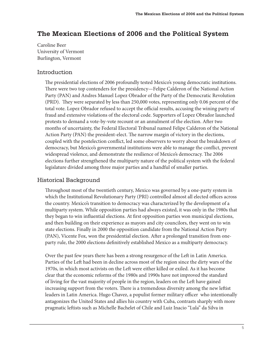# **The Mexican Elections of 2006 and the Political System**

Caroline Beer University of Vermont Burlington, Vermont

#### Introduction

The presidential elections of 2006 profoundly tested Mexico's young democratic institutions. There were two top contenders for the presidency—Felipe Calderon of the National Action Party (PAN) and Andres Manuel Lopez Obrador of the Party of the Democratic Revolution (PRD). They were separated by less than  $250,000$  votes, representing only 0.06 percent of the total vote. Lopez Obrador refused to accept the official results, accusing the wining party of fraud and extensive violations of the electoral code. Supporters of Lopez Obrador launched protests to demand a vote-by-vote recount or an annulment of the election. After two months of uncertainty, the Federal Electoral Tribunal named Felipe Calderon of the National Action Party (PAN) the president-elect. The narrow margin of victory in the elections, coupled with the postelection conflict, led some observers to worry about the breakdown of democracy, but Mexico's governmental institutions were able to manage the conflict, prevent widespread violence, and demonstrate the resilience of Mexico's democracy. The 2006 elections further strengthened the multiparty nature of the political system with the federal legislature divided among three major parties and a handful of smaller parties.

#### Historical Background

Throughout most of the twentieth century, Mexico was governed by a one-party system in which the Institutional Revolutionary Party (PRI) controlled almost all elected offices across the country. Mexico's transition to democracy was characterized by the development of a multiparty system. While opposition parties had always existed, it was only in the 1980s that they began to win influential elections. At first opposition parties won municipal elections, and then building on their experience as mayors and city councilors, they went on to win state elections. Finally in 2000 the opposition candidate from the National Action Party (PAN), Vicente Fox, won the presidential election. After a prolonged transition from oneparty rule, the 2000 elections definitively established Mexico as a multiparty democracy.

Over the past few years there has been a strong resurgence of the Left in Latin America. Parties of the Left had been in decline across most of the region since the dirty wars of the 1970s, in which most activists on the Left were either killed or exiled. As it has become clear that the economic reforms of the 1980s and 1990s have not improved the standard of living for the vast majority of people in the region, leaders on the Left have gained increasing support from the voters. There is a tremendous diversity among the new leftist leaders in Latin America. Hugo Chavez, a populist former military officer who intentionally antagonizes the United States and allies his country with Cuba, contrasts sharply with more pragmatic leftists such as Michelle Bachelet of Chile and Luiz Inacio "Lula" da Silva in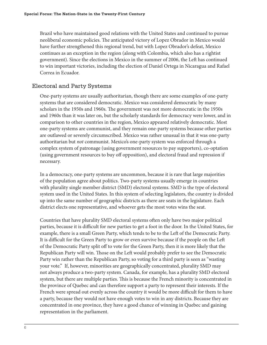Brazil who have maintained good relations with the United States and continued to pursue neoliberal economic policies. The anticipated victory of Lopez Obrador in Mexico would have further strengthened this regional trend, but with Lopez Obrador's defeat, Mexico continues as an exception in the region (along with Colombia, which also has a rightist government). Since the elections in Mexico in the summer of 2006, the Left has continued to win important victories, including the election of Daniel Ortega in Nicaragua and Rafael Correa in Ecuador.

# Electoral and Party Systems

One-party systems are usually authoritarian, though there are some examples of one-party systems that are considered democratic. Mexico was considered democratic by many scholars in the 1950s and 1960s. The government was not more democratic in the 1950s and 1960s than it was later on, but the scholarly standards for democracy were lower, and in comparison to other countries in the region, Mexico appeared relatively democratic. Most one-party systems are communist, and they remain one-party systems because other parties are outlawed or severely circumscribed. Mexico was rather unusual in that it was one-party authoritarian but *not* communist. Mexico's one-party system was enforced through a complex system of patronage (using government resources to pay supporters), co-optation (using government resources to buy off opposition), and electoral fraud and repression if necessary.

In a democracy, one-party systems are uncommon, because it is rare that large majorities of the population agree about politics. Two-party systems usually emerge in countries with plurality single member district (SMD) electoral systems. SMD is the type of electoral system used in the United States. In this system of selecting legislators, the country is divided up into the same number of geographic districts as there are seats in the legislature. Each district elects one representative, and whoever gets the most votes wins the seat.

Countries that have plurality SMD electoral systems often only have two major political parties, because it is difficult for new parties to get a foot in the door. In the United States, for example, there is a small Green Party, which tends to be to the Left of the Democratic Party. It is difficult for the Green Party to grow or even survive because if the people on the Left of the Democratic Party split off to vote for the Green Party, then it is more likely that the Republican Party will win. Those on the Left would probably prefer to see the Democratic Party win rather than the Republican Party, so voting for a third party is seen as "wasting your vote." If, however, minorities are geographically concentrated, plurality SMD may not always produce a two-party system. Canada, for example, has a plurality SMD electoral system, but there are multiple parties. This is because the French minority is concentrated in the province of Quebec and can therefore support a party to represent their interests. If the French were spread out evenly across the country it would be more difficult for them to have a party, because they would not have enough votes to win in any districts. Because they are concentrated in one province, they have a good chance of winning in Quebec and gaining representation in the parliament.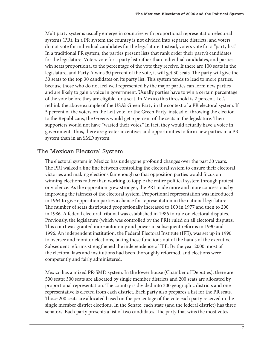Multiparty systems usually emerge in countries with proportional representation electoral systems (PR). In a PR system the country is not divided into separate districts, and voters do not vote for individual candidates for the legislature. Instead, voters vote for a "party list." In a traditional PR system, the parties present lists that rank order their party's candidates for the legislature. Voters vote for a party list rather than individual candidates, and parties win seats proportional to the percentage of the vote they receive. If there are 100 seats in the legislature, and Party A wins 30 percent of the vote, it will get 30 seats. The party will give the 30 seats to the top 30 candidates on its party list. This system tends to lead to more parties, because those who do not feel well represented by the major parties can form new parties and are likely to gain a voice in government. Usually parties have to win a certain percentage of the vote before they are eligible for a seat. In Mexico this threshold is 2 percent. Let's rethink the above example of the USA's Green Party in the context of a PR electoral system. If 5 percent of the voters on the Left vote for the Green Party, instead of throwing the election to the Republicans, the Greens would get 5 percent of the seats in the legislature. Their supporters would not have "wasted their votes." In fact, they would actually have a voice in government. Thus, there are greater incentives and opportunities to form new parties in a PR system than in an SMD system.

# The Mexican Electoral System

The electoral system in Mexico has undergone profound changes over the past 30 years. The PRI walked a fine line between controlling the electoral system to ensure their electoral victories and making elections fair enough so that opposition parties would focus on winning elections rather than working to topple the entire political system through protest or violence. As the opposition grew stronger, the PRI made more and more concessions by improving the fairness of the electoral system. Proportional representation was introduced in 1964 to give opposition parties a chance for representation in the national legislature. The number of seats distributed proportionally increased to 100 in 1977 and then to 200 in 1986. A federal electoral tribunal was established in 1986 to rule on electoral disputes. Previously, the legislature (which was controlled by the PRI) ruled on all electoral disputes. This court was granted more autonomy and power in subsequent reforms in 1990 and 1996. An independent institution, the Federal Electoral Institute (IFE), was set up in 1990 to oversee and monitor elections, taking these functions out of the hands of the executive. Subsequent reforms strengthened the independence of IFE. By the year 2000, most of the electoral laws and institutions had been thoroughly reformed, and elections were competently and fairly administered.

Mexico has a mixed PR-SMD system. In the lower house (Chamber of Deputies), there are 500 seats: 300 seats are allocated by single member districts and 200 seats are allocated by proportional representation. The country is divided into 300 geographic districts and one representative is elected from each district. Each party also prepares a list for the PR seats. Those 200 seats are allocated based on the percentage of the vote each party received in the single member district elections. In the Senate, each state (and the federal district) has three senators. Each party presents a list of two candidates. The party that wins the most votes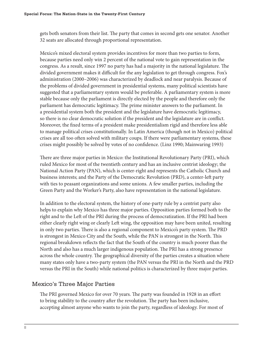gets both senators from their list. The party that comes in second gets one senator. Another 32 seats are allocated through proportional representation.

Mexico's mixed electoral system provides incentives for more than two parties to form, because parties need only win 2 percent of the national vote to gain representation in the congress. As a result, since 1997 no party has had a majority in the national legislature. The divided government makes it difficult for the any legislation to get through congress. Fox's administration (2000–2006) was characterized by deadlock and near paralysis. Because of the problems of divided government in presidential systems, many political scientists have suggested that a parliamentary system would be preferable. A parliamentary system is more stable because only the parliament is directly elected by the people and therefore only the parliament has democratic legitimacy. The prime minister answers to the parliament. In a presidential system both the president and the legislature have democratic legitimacy, so there is no clear democratic solution if the president and the legislature are in conflict. Moreover, the fixed terms of a president make presidentialism rigid and therefore less able to manage political crises constitutionally. In Latin America (though not in Mexico) political crises are all too often solved with military coups. If there were parliamentary systems, these crises might possibly be solved by votes of no confidence. (Linz 1990; Mainwaring 1993)

There are three major parties in Mexico: the Institutional Revolutionary Party (PRI), which ruled Mexico for most of the twentieth century and has an inclusive centrist ideology; the National Action Party (PAN), which is center-right and represents the Catholic Church and business interests; and the Party of the Democratic Revolution (PRD), a center-left party with ties to peasant organizations and some unions. A few smaller parties, including the Green Party and the Worker's Party, also have representation in the national legislature.

In addition to the electoral system, the history of one-party rule by a centrist party also helps to explain why Mexico has three major parties. Opposition parties formed both to the right and to the Left of the PRI during the process of democratization. If the PRI had been either clearly right wing or clearly Left wing, the opposition may have been united, resulting in only two parties. There is also a regional component to Mexico's party system. The PRD is strongest in Mexico City and the South, while the PAN is strongest in the North. This regional breakdown reflects the fact that the South of the country is much poorer than the North and also has a much larger indigenous population. The PRI has a strong presence across the whole country. The geographical diversity of the parties creates a situation where many states only have a two-party system (the PAN versus the PRI in the North and the PRD versus the PRI in the South) while national politics is characterized by three major parties.

# Mexico's Three Major Parties

The PRI governed Mexico for over 70 years. The party was founded in 1928 in an effort to bring stability to the country after the revolution. The party has been inclusive, accepting almost anyone who wants to join the party, regardless of ideology. For most of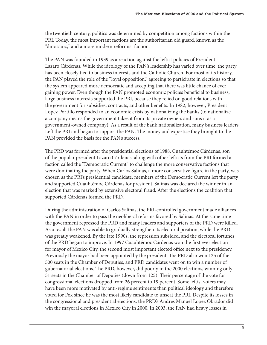the twentieth century, politics was determined by competition among factions within the PRI. Today, the most important factions are the authoritarian old guard, known as the "dinosaurs," and a more modern reformist faction.

The PAN was founded in 1939 as a reaction against the leftist policies of President Lazaro Cárdenas. While the ideology of the PAN's leadership has varied over time, the party has been closely tied to business interests and the Catholic Church. For most of its history, the PAN played the role of the "loyal opposition," agreeing to participate in elections so that the system appeared more democratic and accepting that there was little chance of ever gaining power. Even though the PAN promoted economic policies beneficial to business, large business interests supported the PRI, because they relied on good relations with the government for subsidies, contracts, and other benefits. In 1982, however, President Lopez Portillo responded to an economic crisis by nationalizing the banks (to nationalize a company means the government takes it from its private owners and runs it as a government-owned company). As a result of the bank nationalization, many business leaders Left the PRI and began to support the PAN. The money and expertise they brought to the PAN provided the basis for the PAN's success.

The PRD was formed after the presidential elections of 1988. Cuauhtémoc Cárdenas, son of the popular president Lazaro Cárdenas, along with other leftists from the PRI formed a faction called the "Democratic Current" to challenge the more conservative factions that were dominating the party. When Carlos Salinas, a more conservative figure in the party, was chosen as the PRI's presidential candidate, members of the Democratic Current left the party and supported Cuauhtémoc Cárdenas for president. Salinas was declared the winner in an election that was marked by extensive electoral fraud. After the elections the coalition that supported Cárdenas formed the PRD.

During the administration of Carlos Salinas, the PRI-controlled government made alliances with the PAN in order to pass the neoliberal reforms favored by Salinas. At the same time the government repressed the PRD and many leaders and supporters of the PRD were killed. As a result the PAN was able to gradually strengthen its electoral position, while the PRD was greatly weakened. By the late 1990s, the repression subsided, and the electoral fortunes of the PRD began to improve. In 1997 Cuauhtémoc Cárdenas won the first ever election for mayor of Mexico City, the second most important elected office next to the presidency. Previously the mayor had been appointed by the president. The PRD also won 125 of the 500 seats in the Chamber of Deputies, and PRD candidates went on to win a number of gubernatorial elections. The PRD, however, did poorly in the 2000 elections, winning only 51 seats in the Chamber of Deputies (down from 125). Their percentage of the vote for congressional elections dropped from 26 percent to 19 percent. Some leftist voters may have been more motivated by anti-regime sentiments than political ideology and therefore voted for Fox since he was the most likely candidate to unseat the PRI. Despite its losses in the congressional and presidential elections, the PRD's Andres Manuel Lopez Obrador did win the mayoral elections in Mexico City in 2000. In 2003, the PAN had heavy losses in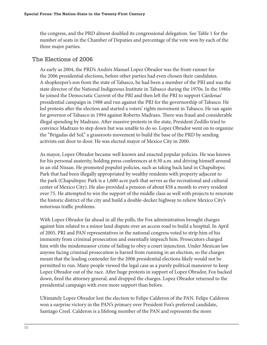the congress, and the PRD almost doubled its congressional delegation. See Table 1 for the number of seats in the Chamber of Deputies and percentage of the vote won by each of the three major parties.

# The Elections of 2006

As early as 2004, the PRD's Andrés Manuel Lopez Obrador was the front-runner for the 2006 presidential elections, before other parties had even chosen their candidates. A shopkeeper's son from the state of Tabasco, he had been a member of the PRI and was the state director of the National Indigenous Institute in Tabasco during the 1970s. In the 1980s he joined the Democratic Current of the PRI and then left the PRI to support Cárdenas' presidential campaign in 1988 and run against the PRI for the governorship of Tabasco. He led protests after the election and started a voters' rights movement in Tabasco. He ran again for governor of Tabasco in 1994 against Roberto Madrazo. There was fraud and considerable illegal spending by Madrazo. After massive protests in the state, President Zedillo tried to convince Madrazo to step down but was unable to do so. Lopez Obrador went on to organize the "Brigadas del Sol," a grassroots movement to build the base of the PRD by sending activists out door to door. He was elected mayor of Mexico City in 2000.

As mayor, Lopez Obrador became well known and enacted popular policies. He was known for his personal austerity, holding press conferences at 6:30 a.m. and driving himself around in an old Nissan. He promoted populist policies, such as taking back land in Chapultepec Park that had been illegally appropriated by wealthy residents with property adjacent to the park (Chapultepec Park is a 1,600-acre park that serves as the recreational and cultural center of Mexico City). He also provided a pension of about \$58 a month to every resident over 75. He attempted to win the support of the middle class as well with projects to renovate the historic district of the city and build a double-decker highway to relieve Mexico City's notorious traffic problems.

With Lopez Obrador far ahead in all the polls, the Fox administration brought charges against him related to a minor land dispute over an access road to build a hospital. In April of 2005, PRI and PAN representatives in the national congress voted to strip him of his immunity from criminal prosecution and essentially impeach him. Prosecutors charged him with the misdemeanor crime of failing to obey a court injunction. Under Mexican law anyone facing criminal prosecution is barred from running in an election, so the charges meant that the leading contender for the 2006 presidential elections likely would not be permitted to run. Many people viewed the legal case as a purely political maneuver to keep Lopez Obrador out of the race. After huge protests in support of Lopez Obrador, Fox backed down, fired the attorney general, and dropped the charges. Lopez Obrador returned to the presidential campaign with even more support than before.

Ultimately Lopez Obrador lost the election to Felipe Calderon of the PAN. Felipe Calderon won a surprise victory in the PAN's primary over President Fox's preferred candidate, Santiago Creel. Calderon is a lifelong member of the PAN and represents the more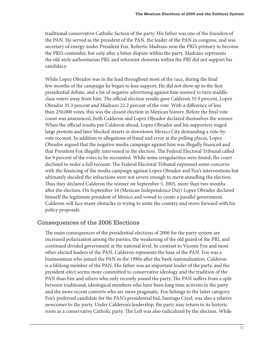traditional conservative Catholic faction of the party. His father was one of the founders of the PAN. He served as the president of the PAN, the leader of the PAN in congress, and was secretary of energy under President Fox. Roberto Madrazo won the PRI's primary to become the PRI's contender, but only after a bitter dispute within the party. Madrazo represents the old-style authoritarian PRI, and reformist elements within the PRI did not support his candidacy.

While Lopez Obrador was in the lead throughout most of the race, during the final few months of the campaign he began to lose support. He did not show up to the first presidential debate, and a lot of negative advertising against him seemed to turn middleclass voters away from him. The official election results gave Calderon 35.9 percent, Lopez Obrador 35.3 percent and Madrazo 22.2 percent of the vote. With a difference of less than 250,000 votes, this was the closest election in Mexican history. Before the final vote count was announced, both Calderon and Lopez Obrador declared themselves the winner. When the official results put Calderon ahead, Lopez Obrador and his supporters staged large protests and later blocked streets in downtown Mexico City demanding a vote-byvote recount. In addition to allegations of fraud and error at the polling places, Lopez Obrador argued that the negative media campaign against him was illegally financed and that President Fox illegally intervened in the election. The Federal Electoral Tribunal called for 9 percent of the votes to be recounted. While some irregularities were found, the court declined to order a full recount. The Federal Electoral Tribunal expressed some concerns with the financing of the media campaign against Lopez Obrador and Fox's interventions but ultimately decided the infractions were not severe enough to merit annulling the election. Thus they declared Calderon the winner on September 5, 2005, more than two months after the election. On September 16 (Mexican Independence Day) Lopez Obrador declared himself the legitimate president of Mexico and vowed to create a parallel government. Calderon will face many obstacles in trying to unite the country and move forward with his policy proposals.

# Consequences of the 2006 Elections

The main consequences of the presidential elections of 2006 for the party system are increased polarization among the parties, the weakening of the old guard of the PRI, and continued divided government at the national level. In contrast to Vicente Fox and most other elected leaders of the PAN, Calderon represents the base of the PAN. Fox was a businessman who joined the PAN in the 1980s after the bank nationalization. Calderon is a lifelong member of the PAN. His father was an important leader of the party, and the president-elect seems more committed to conservative ideology and the tradition of the PAN than Fox and others who only recently joined the party. The PAN suffers from a split between traditional, ideological members who have been long time activists in the party and the more recent converts who are more pragmatic. Fox belongs to the latter category. Fox's preferred candidate for the PAN's presidential bid, Santiago Creel, was also a relative newcomer to the party. Under Calderon's leadership, the party may return to its historic roots as a conservative Catholic party. The Left was also radicalized by the election. While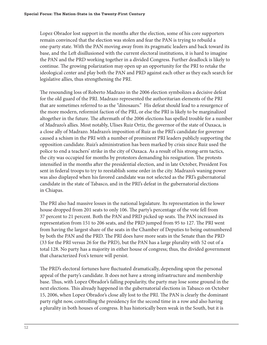Lopez Obrador lost support in the months after the election, some of his core supporters remain convinced that the election was stolen and fear the PAN is trying to rebuild a one-party state. With the PAN moving away from its pragmatic leaders and back toward its base, and the Left disillusioned with the current electoral institutions, it is hard to imagine the PAN and the PRD working together in a divided Congress. Further deadlock is likely to continue. The growing polarization may open up an opportunity for the PRI to retake the ideological center and play both the PAN and PRD against each other as they each search for legislative allies, thus strengthening the PRI.

The resounding loss of Roberto Madrazo in the 2006 election symbolizes a decisive defeat for the old guard of the PRI. Madrazo represented the authoritarian elements of the PRI that are sometimes referred to as the "dinosaurs." His defeat should lead to a resurgence of the more modern, reformist faction of the PRI, or else the PRI is likely to be marginalized altogether in the future. The aftermath of the 2006 elections has spelled trouble for a number of Madrazo's allies. Most notably, Ulises Ruiz Ortiz, the governor of the state of Oaxaca, is a close ally of Madrazo. Madrazo's imposition of Ruiz as the PRI's candidate for governor caused a schism in the PRI with a number of prominent PRI leaders publicly supporting the opposition candidate. Ruiz's administration has been marked by crisis since Ruiz used the police to end a teachers' strike in the city of Oaxaca. As a result of his strong-arm tactics, the city was occupied for months by protestors demanding his resignation. The protests intensified in the months after the presidential election, and in late October, President Fox sent in federal troops to try to reestablish some order in the city. Madrazo's waning power was also displayed when his favored candidate was not selected as the PRI's gubernatorial candidate in the state of Tabasco, and in the PRI's defeat in the gubernatorial elections in Chiapas.

The PRI also had massive losses in the national legislature. Its representation in the lower house dropped from 201 seats to only 106. The party's percentage of the vote fell from 37 percent to 21 percent. Both the PAN and PRD picked up seats. The PAN increased its representation from 151 to 206 seats, and the PRD jumped from 95 to 127. The PRI went from having the largest share of the seats in the Chamber of Deputies to being outnumbered by both the PAN and the PRD. The PRI does have more seats in the Senate than the PRD (33 for the PRI versus 26 for the PRD), but the PAN has a large plurality with 52 out of a total 128. No party has a majority in either house of congress; thus, the divided government that characterized Fox's tenure will persist.

The PRD's electoral fortunes have fluctuated dramatically, depending upon the personal appeal of the party's candidate. It does not have a strong infrastructure and membership base. Thus, with Lopez Obrador's falling popularity, the party may lose some ground in the next elections. This already happened in the gubernatorial elections in Tabasco on October 15, 2006, when Lopez Obrador's close ally lost to the PRI. The PAN is clearly the dominant party right now, controlling the presidency for the second time in a row and also having a plurality in both houses of congress. It has historically been weak in the South, but it is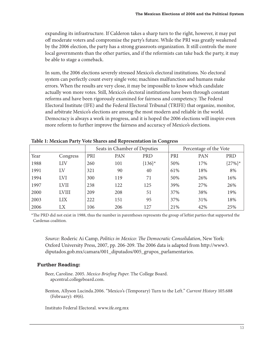expanding its infrastructure. If Calderon takes a sharp turn to the right, however, it may put off moderate voters and compromise the party's future. While the PRI was greatly weakened by the 2006 election, the party has a strong grassroots organization. It still controls the more local governments than the other parties, and if the reformists can take back the party, it may be able to stage a comeback.

In sum, the 2006 elections severely stressed Mexico's electoral institutions. No electoral system can perfectly count every single vote; machines malfunction and humans make errors. When the results are very close, it may be impossible to know which candidate actually won more votes. Still, Mexico's electoral institutions have been through constant reforms and have been rigorously examined for fairness and competency. The Federal Electoral Institute (IFE) and the Federal Electoral Tribunal (TRIFE) that organize, monitor, and arbitrate Mexico's elections are among the most modern and reliable in the world. Democracy is always a work in progress, and it is hoped the 2006 elections will inspire even more reform to further improve the fairness and accuracy of Mexico's elections.

|      |              |     | Seats in Chamber of Deputies |            |     | Percentage of the Vote |            |
|------|--------------|-----|------------------------------|------------|-----|------------------------|------------|
| Year | Congress     | PRI | PAN                          | <b>PRD</b> | PRI | PAN                    | <b>PRD</b> |
| 1988 | LIV          | 260 | 101                          | ${136}^*$  | 50% | 17%                    | ${27\%}^*$ |
| 1991 | LV           | 321 | 90                           | 40         | 61% | 18%                    | 8%         |
| 1994 | <b>LVI</b>   | 300 | 119                          | 71         | 50% | 26%                    | 16%        |
| 1997 | <b>LVII</b>  | 238 | 122                          | 125        | 39% | 27%                    | 26%        |
| 2000 | <b>LVIII</b> | 209 | 208                          | 51         | 37% | 38%                    | 19%        |
| 2003 | <b>LIX</b>   | 222 | 151                          | 95         | 37% | 31%                    | 18%        |
| 2006 | LX           | 106 | 206                          | 127        | 21% | 42%                    | 25%        |

**Table 1: Mexican Party Vote Shares and Representation in Congress**

\*The PRD did not exist in 1988, thus the number in parentheses represents the group of leftist parties that supported the Cardenas coalition.

*Source:* Roderic Ai Camp, *Politics in Mexico: The Democratic Consolidation*, New York: Oxford University Press, 2007, pp. 206-209. The 2006 data is adapted from http://www3. diputados.gob.mx/camara/001\_diputados/005\_grupos\_parlamentarios.

#### **Further Reading:**

Beer, Caroline. 2005. *Mexico Briefing Paper*. The College Board. apcentral.collegeboard.com.

Benton, Allyson Lucinda.2006. "Mexico's (Temporary) Turn to the Left." *Current History* 105.688 (February): 49(6).

Instituto Federal Electoral. www.ife.org.mx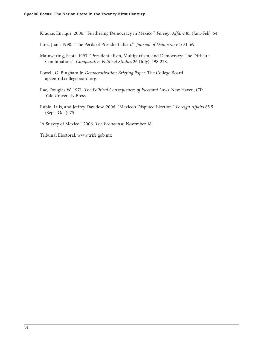Krauze, Enrique. 2006. "Furthering Democracy in Mexico." *Foreign Affairs* 85 (Jan.-Feb): 54

Linz, Juan. 1990. "The Perils of Presidentialism." *Journal of Democracy* 1: 51–69.

Mainwaring, Scott. 1993. "Presidentialism, Multipartism, and Democracy: The Difficult Combination." *Comparative Political Studies* 26 (July): 198-228.

Powell, G. Bingham Jr. *Democratization Briefing Paper*. The College Board. apcentral.collegeboard.org.

Rae, Douglas W. 1971. *The Political Consequences of Electoral Laws*. New Haven, CT: Yale University Press.

Rubio, Luis, and Jeffrey Davidow. 2006. "Mexico's Disputed Election." *Foreign Affairs* 85.5 (Sept.-Oct.): 75.

"A Survey of Mexico." 2006. *The Economist,* November 18.

Tribunal Electoral. www.trife.gob.mx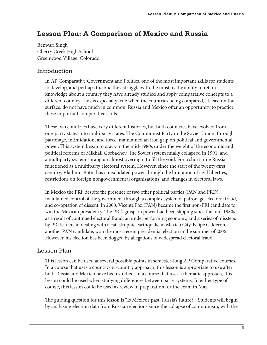# **Lesson Plan: A Comparison of Mexico and Russia**

Benwari Singh Cherry Creek High School Greenwood Village, Colorado

# Introduction

In AP Comparative Government and Politics, one of the most important skills for students to develop, and perhaps the one they struggle with the most, is the ability to retain knowledge about a country they have already studied and apply comparative concepts to a different country. This is especially true when the countries being compared, at least on the surface, do not have much in common. Russia and Mexico offer an opportunity to practice these important comparative skills.

These two countries have very different histories, but both countries have evolved from one-party states into multiparty states. The Communist Party in the Soviet Union, through patronage, intimidation, and force, maintained an iron grip on political and governmental power. This system began to crack in the mid-1980s under the weight of the economic and political reforms of Mikhail Gorbachev. The Soviet system finally collapsed in 1991, and a multiparty system sprang up almost overnight to fill the void. For a short time Russia functioned as a multiparty electoral system. However, since the start of the twenty-first century, Vladimir Putin has consolidated power through the limitation of civil liberties, restrictions on foreign nongovernmental organizations, and changes in electoral laws.

In Mexico the PRI, despite the presence of two other political parties (PAN and PRD), maintained control of the government through a complex system of patronage, electoral fraud, and co-optation of dissent. In 2000, Vicente Fox (PAN) became the first non-PRI candidate to win the Mexican presidency. The PRI's grasp on power had been slipping since the mid-1980s as a result of continued electoral fraud, an underperforming economy, and a series of missteps by PRI leaders in dealing with a catastrophic earthquake in Mexico City. Felipe Calderon, another PAN candidate, won the most recent presidential election in the summer of 2006. However, his election has been dogged by allegations of widespread electoral fraud.

# Lesson Plan

This lesson can be used at several possible points in semester-long AP Comparative courses. In a course that uses a country-by-country approach, this lesson is appropriate to use after both Russia and Mexico have been studied. In a course that uses a thematic approach, this lesson could be used when studying differences between party systems. In either type of course, this lesson could be used as review in preparation for the exam in May.

The guiding question for this lesson is "Is Mexico's past, Russia's future?" Students will begin by analyzing election data from Russian elections since the collapse of communism, with the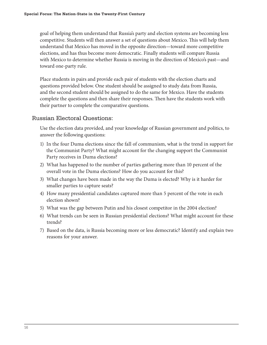goal of helping them understand that Russia's party and election systems are becoming less competitive. Students will then answer a set of questions about Mexico. This will help them understand that Mexico has moved in the opposite direction—toward more competitive elections, and has thus become more democratic. Finally students will compare Russia with Mexico to determine whether Russia is moving in the direction of Mexico's past—and toward one-party rule.

Place students in pairs and provide each pair of students with the election charts and questions provided below. One student should be assigned to study data from Russia, and the second student should be assigned to do the same for Mexico. Have the students complete the questions and then share their responses. Then have the students work with their partner to complete the comparative questions.

# Russian Electoral Questions:

Use the election data provided, and your knowledge of Russian government and politics, to answer the following questions:

- 1) In the four Duma elections since the fall of communism, what is the trend in support for the Communist Party? What might account for the changing support the Communist Party receives in Duma elections?
- 2) What has happened to the number of parties gathering more than 10 percent of the overall vote in the Duma elections? How do you account for this?
- 3) What changes have been made in the way the Duma is elected? Why is it harder for smaller parties to capture seats?
- 4) How many presidential candidates captured more than 5 percent of the vote in each election shown?
- 5) What was the gap between Putin and his closest competitor in the 2004 election?
- 6) What trends can be seen in Russian presidential elections? What might account for these trends?
- 7) Based on the data, is Russia becoming more or less democratic? Identify and explain two reasons for your answer.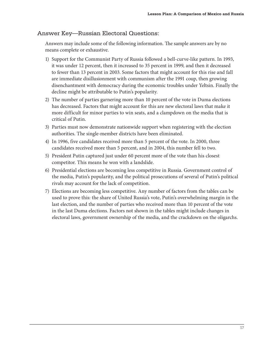# Answer Key—Russian Electoral Questions:

Answers may include some of the following information. The sample answers are by no means complete or exhaustive.

- 1) Support for the Communist Party of Russia followed a bell-curve-like pattern. In 1993, it was under 12 percent, then it increased to 35 percent in 1999, and then it decreased to fewer than 13 percent in 2003. Some factors that might account for this rise and fall are immediate disillusionment with communism after the 1991 coup, then growing disenchantment with democracy during the economic troubles under Yeltsin. Finally the decline might be attributable to Putin's popularity.
- 2) The number of parties garnering more than 10 percent of the vote in Duma elections has decreased. Factors that might account for this are new electoral laws that make it more difficult for minor parties to win seats, and a clampdown on the media that is critical of Putin.
- 3) Parties must now demonstrate nationwide support when registering with the election authorities. The single-member districts have been eliminated.
- 4) In 1996, five candidates received more than 5 percent of the vote. In 2000, three candidates received more than 5 percent, and in 2004, this number fell to two.
- 5) President Putin captured just under 60 percent more of the vote than his closest competitor. This means he won with a landslide.
- 6) Presidential elections are becoming less competitive in Russia. Government control of the media, Putin's popularity, and the political prosecutions of several of Putin's political rivals may account for the lack of competition.
- 7) Elections are becoming less competitive. Any number of factors from the tables can be used to prove this: the share of United Russia's vote, Putin's overwhelming margin in the last election, and the number of parties who received more than 10 percent of the vote in the last Duma elections. Factors not shown in the tables might include changes in electoral laws, government ownership of the media, and the crackdown on the oligarchs.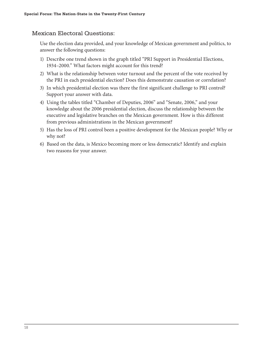# Mexican Electoral Questions:

Use the election data provided, and your knowledge of Mexican government and politics, to answer the following questions:

- 1) Describe one trend shown in the graph titled "PRI Support in Presidential Elections, 1934–2000." What factors might account for this trend?
- 2) What is the relationship between voter turnout and the percent of the vote received by the PRI in each presidential election? Does this demonstrate causation or correlation?
- 3) In which presidential election was there the first significant challenge to PRI control? Support your answer with data.
- 4) Using the tables titled "Chamber of Deputies, 2006" and "Senate, 2006," and your knowledge about the 2006 presidential election, discuss the relationship between the executive and legislative branches on the Mexican government. How is this different from previous administrations in the Mexican government?
- 5) Has the loss of PRI control been a positive development for the Mexican people? Why or why not?
- 6) Based on the data, is Mexico becoming more or less democratic? Identify and explain two reasons for your answer.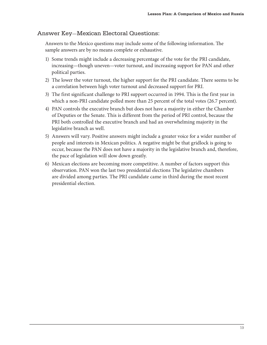# Answer Key—Mexican Electoral Questions:

Answers to the Mexico questions may include some of the following information. The sample answers are by no means complete or exhaustive.

- 1) Some trends might include a decreasing percentage of the vote for the PRI candidate, increasing—though uneven—voter turnout, and increasing support for PAN and other political parties.
- 2) The lower the voter turnout, the higher support for the PRI candidate. There seems to be a correlation between high voter turnout and decreased support for PRI.
- 3) The first significant challenge to PRI support occurred in 1994. This is the first year in which a non-PRI candidate polled more than 25 percent of the total votes (26.7 percent).
- 4) PAN controls the executive branch but does not have a majority in either the Chamber of Deputies or the Senate. This is different from the period of PRI control, because the PRI both controlled the executive branch and had an overwhelming majority in the legislative branch as well.
- 5) Answers will vary. Positive answers might include a greater voice for a wider number of people and interests in Mexican politics. A negative might be that gridlock is going to occur, because the PAN does not have a majority in the legislative branch and, therefore, the pace of legislation will slow down greatly.
- 6) Mexican elections are becoming more competitive. A number of factors support this observation. PAN won the last two presidential elections The legislative chambers are divided among parties. The PRI candidate came in third during the most recent presidential election.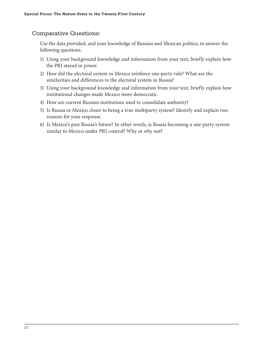# Comparative Questions:

Use the data provided, and your knowledge of Russian and Mexican politics, to answer the following questions.

- 1) Using your background knowledge and information from your text, briefly explain how the PRI stayed in power.
- 2) How did the electoral system in Mexico reinforce one-party rule? What are the similarities and differences to the electoral system in Russia?
- 3) Using your background knowledge and information from your text, briefly explain how institutional changes made Mexico more democratic.
- 4) How are current Russian institutions used to consolidate authority?
- 5) Is Russia or Mexico closer to being a true multiparty system? Identify and explain two reasons for your response.
- 6) Is Mexico's past Russia's future? In other words, is Russia becoming a one-party system similar to Mexico under PRI control? Why or why not?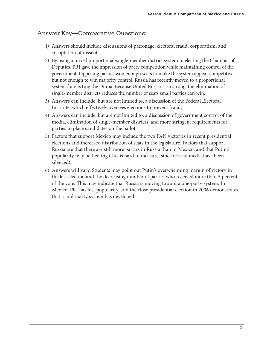# Answer Key—Comparative Questions:

- 1) Answers should include discussions of patronage, electoral fraud, corporatism, and co-optation of dissent.
- 2) By using a mixed proportional/single-member district system in electing the Chamber of Deputies, PRI gave the impression of party competition while maintaining control of the government. Opposing parties won enough seats to make the system appear competitive but not enough to win majority control. Russia has recently moved to a proportional system for electing the Duma. Because United Russia is so strong, the elimination of single-member districts reduces the number of seats small parties can win.
- 3) Answers can include, but are not limited to, a discussion of the Federal Electoral Institute, which effectively oversees elections to prevent fraud,
- 4) Answers can include, but are not limited to, a discussion of government control of the media, elimination of single-member districts, and more stringent requirements for parties to place candidates on the ballot.
- 5) Factors that support Mexico may include the two PAN victories in recent presidential elections and increased distribution of seats in the legislature. Factors that support Russia are that there are still more parties in Russia than in Mexico, and that Putin's popularity may be fleeting (this is hard to measure, since critical media have been silenced).
- 6) Answers will vary. Students may point out Putin's overwhelming margin of victory in the last election and the decreasing number of parties who received more than 5 percent of the vote. This may indicate that Russia is moving toward a one-party system. In Mexico, PRI has lost popularity, and the close presidential election in 2006 demonstrates that a multiparty system has developed.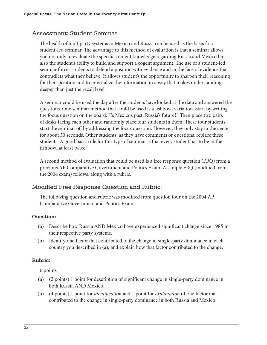# Assessment: Student Seminar

The health of multiparty systems in Mexico and Russia can be used as the basis for a student-led seminar. The advantage to this method of evaluation is that a seminar allows you not only to evaluate the specific content knowledge regarding Russia and Mexico but also the student's ability to build and support a cogent argument. The use of a student-led seminar forces students to defend a position with evidence and in the face of evidence that contradicts what they believe. It allows student's the opportunity to sharpen their reasoning for their position and to internalize the information in a way that makes understanding deeper than just the recall level.

A seminar could be used the day after the students have looked at the data and answered the questions. One seminar method that could be used is a fishbowl variation. Start by writing the focus question on the board: "Is Mexico's past, Russia's future?" Then place two pairs of desks facing each other and randomly place four students in them. These four students start the seminar off by addressing the focus question. However, they only stay in the center for about 30 seconds. Other students, as they have comments or questions, replace these students. A good basic rule for this type of seminar is that every student has to be in the fishbowl at least twice.

A second method of evaluation that could be used is a free response question (FRQ) from a previous AP Comparative Government and Politics Exam. A sample FRQ (modified from the 2004 exam) follows, along with a rubric.

# Modified Free Response Question and Rubric:

The following question and rubric was modified from question four on the 2004 AP Comparative Government and Politics Exam.

#### **Question:**

- (a) Describe how Russia AND Mexico have experienced significant change since 1985 in their respective party systems.
- (b) Identify one factor that contributed to the change in single-party dominance in each country you described in (a), and explain how that factor contributed to the change.

#### **Rubric:**

6 points

- (a)  $(2 \text{ points})$  1 point for description of significant change in single-party dominance in both Russia AND Mexico.
- (b) (4 points) 1 point for *identification* and 1 point for *explanation* of one factor that contributed to the change in single-party dominance in both Russia and Mexico.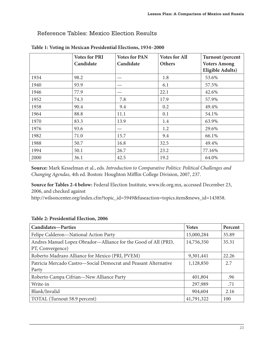# Reference Tables: Mexico Election Results

|      | <b>Votes for PRI</b><br>Candidate | <b>Votes for PAN</b><br>Candidate | <b>Votes for All</b><br>Others | <b>Turnout</b> (percent<br><b>Voters Among</b><br><b>Eligible Adults)</b> |
|------|-----------------------------------|-----------------------------------|--------------------------------|---------------------------------------------------------------------------|
| 1934 | 98.2                              |                                   | 1.8                            | 53.6%                                                                     |
| 1940 | 93.9                              |                                   | 6.1                            | 57.5%                                                                     |
| 1946 | 77.9                              |                                   | 22.1                           | 42.6%                                                                     |
| 1952 | 74.3                              | 7.8                               | 17.9                           | 57.9%                                                                     |
| 1958 | 90.4                              | 9.4                               | 0.2                            | 49.4%                                                                     |
| 1964 | 88.8                              | 11.1                              | 0.1                            | 54.1%                                                                     |
| 1970 | 83.3                              | 13.9                              | 1.4                            | 63.9%                                                                     |
| 1976 | 93.6                              |                                   | 1.2                            | 29.6%                                                                     |
| 1982 | 71.0                              | 15.7                              | 9.4                            | 66.1%                                                                     |
| 1988 | 50.7                              | 16.8                              | 32.5                           | 49.4%                                                                     |
| 1994 | 50.1                              | 26.7                              | 23.2                           | 77.16%                                                                    |
| 2000 | 36.1                              | 42.5                              | 19.2                           | 64.0%                                                                     |

#### **Table 1: Voting in Mexican Presidential Elections, 1934–2000**

**Source:** Mark Kesselman et al., eds. *Introduction to Comparative Politics: Political Challenges and Changing Agendas*, 4th ed. Boston: Houghton Mifflin College Division, 2007, 237.

**Source for Tables 2-4 below:** Federal Election Institute, www.ife.org.mx, accessed December 23, 2006, and checked against

http://wilsoncenter.org/index.cfm?topic\_id=5949&fuseaction=topics.item&news\_id=143858.

|  | Table 2: Presidential Election, 2006 |  |
|--|--------------------------------------|--|
|  |                                      |  |

| <b>Candidates-Parties</b>                                       | <b>Votes</b> | Percent |
|-----------------------------------------------------------------|--------------|---------|
| Felipe Calderon-National Action Party                           | 15,000,284   | 35.89   |
| Andres Manuel Lopez Obrador-Alliance for the Good of All (PRD,  | 14,756,350   | 35.31   |
| PT, Convergence)                                                |              |         |
| Roberto Madrazo Alliance for Mexico (PRI, PVEM)                 | 9,301,441    | 22.26   |
| Patricia Mercado Castro-Social Democrat and Peasant Alternative | 1,128,850    | 2.7     |
| Party                                                           |              |         |
| Roberto Campa Cifrian-New Alliance Party                        | 401,804      | .96     |
| Write-in                                                        | 297,989      | .71     |
| Blank/Invalid                                                   | 904,604      | 2.16    |
| TOTAL (Turnout 58.9 percent)                                    | 41,791,322   | 100     |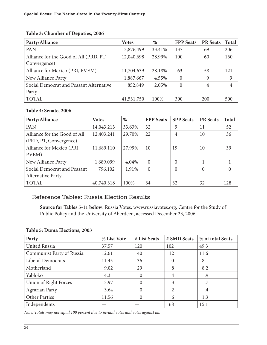#### **Table 3: Chamber of Deputies, 2006**

| Party/Alliance                          | <b>Votes</b> | %      | <b>FPP</b> Seats | <b>PR</b> Seats | <b>Total</b> |
|-----------------------------------------|--------------|--------|------------------|-----------------|--------------|
| PAN                                     | 13,876,499   | 33.41% | 137              | 69              | 206          |
| Alliance for the Good of All (PRD, PT,  | 12,040,698   | 28.99% | 100              | 60              | 160          |
| Convergence)                            |              |        |                  |                 |              |
| Alliance for Mexico (PRI, PVEM)         | 11,704,639   | 28.18% | 63               | 58              | 121          |
| New Alliance Party                      | 1,887,667    | 4.55%  | $\theta$         | 9               | 9            |
| Social Democrat and Peasant Alternative | 852,849      | 2.05%  | $\theta$         | 4               | 4            |
| Party                                   |              |        |                  |                 |              |
| <b>TOTAL</b>                            | 41,531,750   | 100%   | 300              | 200             | 500          |

#### **Table 4: Senate, 2006**

| Party/Alliance               | <b>Votes</b> | %      | <b>FPP</b> Seats | <b>SPP</b> Seats | <b>PR</b> Seats | <b>Total</b> |
|------------------------------|--------------|--------|------------------|------------------|-----------------|--------------|
| PAN                          | 14,043,213   | 33.63% | 32               | 9                | 11              | 52           |
| Alliance for the Good of All | 12,403,241   | 29.70% | 22               | 4                | 10              | 36           |
| (PRD, PT, Convergence)       |              |        |                  |                  |                 |              |
| Alliance for Mexico (PRI,    | 11,689,110   | 27.99% | 10               | 19               | 10              | 39           |
| PVEM)                        |              |        |                  |                  |                 |              |
| New Alliance Party           | 1,689,099    | 4.04%  | $\Omega$         | 0                |                 |              |
| Social Democrat and Peasant  | 796,102      | 1.91%  | $\theta$         | $\Omega$         | $\Omega$        | $\mathbf{0}$ |
| <b>Alternative Party</b>     |              |        |                  |                  |                 |              |
| <b>TOTAL</b>                 | 40,740,318   | 100%   | 64               | 32               | 32              | 128          |

# Reference Tables: Russia Election Results

**Source for Tables 5-11 below:** Russia Votes, www.russiavotes.org, Centre for the Study of Public Policy and the University of Aberdeen, accessed December 23, 2006.

#### **Table 5: Duma Elections, 2003**

| Party                     | % List Vote | # List Seats     | # SMD Seats | % of total Seats |
|---------------------------|-------------|------------------|-------------|------------------|
| <b>United Russia</b>      | 37.57       | 120              | 102         | 49.3             |
| Communist Party of Russia | 12.61       | 40               | 12          | 11.6             |
| <b>Liberal Democrats</b>  | 11.45       | 36               | 0           | 8                |
| Motherland                | 9.02        | 29               | 8           | 8.2              |
| Yabloko                   | 4.3         | $\Omega$         | 4           | .9               |
| Union of Right Forces     | 3.97        | $\Omega$         | 3           | .7               |
| <b>Agrarian Party</b>     | 3.64        | $\Omega$         | 2           | $\cdot$          |
| <b>Other Parties</b>      | 11.56       | $\left( \right)$ | 6           | 1.3              |
| Independents              |             |                  | 68          | 15.1             |

*Note: Totals may not equal 100 percent due to invalid votes and votes against all.*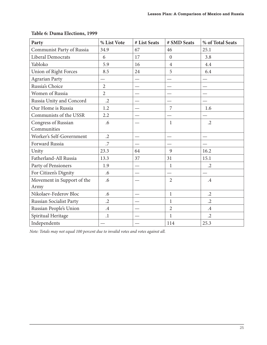| Party                        | % List Vote    | # List Seats | # SMD Seats    | % of Total Seats |
|------------------------------|----------------|--------------|----------------|------------------|
| Communist Party of Russia    | 34.9           | 67           | 46             | 25.1             |
| Liberal Democrats            | 6              | 17           | $\overline{0}$ | 3.8              |
| Yabloko                      | 5.9            | 16           | $\overline{4}$ | 4.4              |
| <b>Union of Right Forces</b> | 8.5            | 24           | 5              | 6.4              |
| <b>Agrarian Party</b>        |                |              |                |                  |
| Russia's Choice              | $\overline{2}$ |              |                |                  |
| Women of Russia              | $\overline{2}$ |              |                |                  |
| Russia Unity and Concord     | $\cdot$ .2     |              |                |                  |
| Our Home is Russia           | 1.2            |              | 7              | 1.6              |
| Communists of the USSR       | 2.2            |              |                |                  |
| Congress of Russian          | .6             |              | $\mathbf{1}$   | $\cdot$ .2       |
| Communities                  |                |              |                |                  |
| Worker's Self-Government     | $\cdot$ .2     |              |                |                  |
| Forward Russia               | .7             |              |                |                  |
| Unity                        | 23.3           | 64           | 9              | 16.2             |
| Fatherland-All Russia        | 13.3           | 37           | 31             | 15.1             |
| Party of Pensioners          | 1.9            |              | $\mathbf{1}$   | $\cdot$ .2       |
| For Citizen's Dignity        | .6             |              |                |                  |
| Movement in Support of the   | .6             |              | $\overline{2}$ | $.4\,$           |
| Army                         |                |              |                |                  |
| Nikolaev-Federov Bloc        | .6             |              | $\mathbf{1}$   | $\cdot$ .2       |
| Russian Socialist Party      | $\cdot$ .2     |              | 1              | $\cdot$ .2       |
| Russian People's Union       | $\cdot$        |              | $\overline{2}$ | $.4\,$           |
| Spiritual Heritage           | $\cdot$        |              | $\mathbf{1}$   | $\cdot$ .2       |
| Independents                 |                |              | 114            | 25.3             |

#### **Table 6: Duma Elections, 1999**

*Note: Totals may not equal 100 percent due to invalid votes and votes against all.*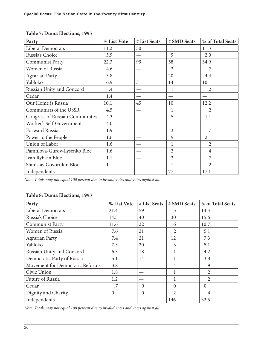| Party                                 | % List Vote | # List Seats | # SMD Seats    | % of Total Seats |
|---------------------------------------|-------------|--------------|----------------|------------------|
| <b>Liberal Democrats</b>              | 11.2        | 50           | 1              | 11.3             |
| Russia's Choice                       | 3.9         |              | 9              | 2.0              |
| <b>Communist Party</b>                | 22.3        | 99           | 58             | 34.9             |
| Women of Russia                       | 4.6         |              | 3              | .7               |
| <b>Agrarian Party</b>                 | 3.8         |              | 20             | 4.4              |
| Yabloko                               | 6.9         | 31           | 14             | 10               |
| Russian Unity and Concord             | $\cdot$ 4   |              | 1              | $\cdot$ .2       |
| Cedar                                 | 1.4         |              |                |                  |
| Our Home is Russia                    | 10.1        | 45           | 10             | 12.2             |
| Communists of the USSR                | 4.5         |              | 1              | $\cdot$ .2       |
| <b>Congress of Russian Communites</b> | 4.3         |              | 5              | 1.1              |
| Worker's Self-Government              | 4.0         |              |                |                  |
| Forward Russia!                       | 1.9         |              | 3              | .7               |
| Power to the People!                  | 1.6         |              | 9              | $\overline{2}$   |
| Union of Labor                        | 1.6         |              | 1              | $\cdot$ .2       |
| Pamfilova-Gurov-Lysenko Bloc          | 1.6         |              | $\overline{2}$ | $.4\,$           |
| Ivan Rybkin Bloc                      | 1.1         |              | 3              | .7               |
| Stanislav Govorukin Bloc              |             |              | 1              | $\cdot$ .2       |
| Independents                          |             |              | 77             | 17.1             |

#### **Table 7: Duma Elections, 1995**

*Note: Totals may not equal 100 percent due to invalid votes and votes against all.*

#### **Table 8: Duma Elections, 1993**

| Party                           | % List Vote | # List Seats | # SMD Seats    | % of Total Seats |
|---------------------------------|-------------|--------------|----------------|------------------|
| Liberal Democrats               | 21.4        | 59           | 5              | 14.3             |
| Russia's Choice                 | 14.5        | 40           | 30             | 15.6             |
| <b>Communist Party</b>          | 11.6        | 32           | 16             | 10.7             |
| Women of Russia                 | 7.6         | 21           | 2              | 5.1              |
| <b>Agrarian Party</b>           | 7.4         | 21           | 12             | 7.3              |
| Yabloko                         | 7.3         | 20           | 3              | 5.1              |
| Russian Unity and Concord       | 6.3         | 18           |                | 4.2              |
| Democratic Party of Russia      | 5.1         | 14           | $\mathbf{1}$   | 3.3              |
| Movement for Democratic Reforms | 3.8         |              | $\overline{4}$ | .9               |
| Civic Union                     | 1.8         |              | 1              | $\cdot$ .2       |
| Future of Russia                | 1.2         |              | 1              | $\cdot$ 2        |
| Cedar                           | .7          | $\Omega$     | $\Omega$       | $\mathbf{0}$     |
| Dignity and Charity             | 0           | $\Omega$     | 2              | $.4\,$           |
| Independents                    |             |              | 146            | 32.5             |

*Note: Totals may not equal 100 percent due to invalid votes and votes against all.*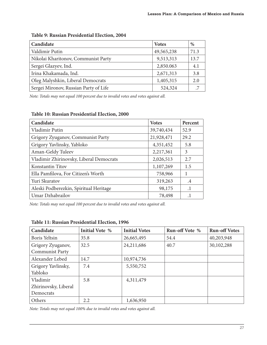| Candidate                             | <b>Votes</b> | %    |
|---------------------------------------|--------------|------|
| Valdimir Putin                        | 49,565,238   | 71.3 |
| Nikolai Kharitonov, Communist Party   | 9,513,313    | 13.7 |
| Sergei Glazyev, Ind.                  | 2,850.063    | 4.1  |
| Irina Khakamada, Ind.                 | 2,671,313    | 3.8  |
| Oleg Malyshkin, Liberal Democrats     | 1,405,315    | 2.0  |
| Sergei Mironov, Russian Party of Life | 524,324      |      |

#### **Table 9: Russian Presidential Election, 2004**

*Note: Totals may not equal 100 percent due to invalid votes and votes against all.*

#### **Table 10: Russian Presidential Election, 2000**

| Candidate                               | <b>Votes</b> | Percent |
|-----------------------------------------|--------------|---------|
| Vladimir Putin                          | 39,740,434   | 52.9    |
| Grigory Zyuganov, Communist Party       | 21,928,471   | 29.2    |
| Grigory Yavlinsky, Yabloko              | 4,351,452    | 5.8     |
| Aman-Geldy Tuleev                       | 2,217,361    | 3       |
| Vladimir Zhirinovsky, Liberal Democrats | 2,026,513    | 2.7     |
| Konstantin Titov                        | 1,107,269    | 1.5     |
| Ella Pamfilova, For Citizen's Worth     | 758,966      |         |
| Yuri Skuratov                           | 319,263      | .4      |
| Aleski Podberezkin, Spiritual Heritage  | 98,175       | $\cdot$ |
| Umar Dzhabrailov                        | 78,498       |         |

*Note: Totals may not equal 100 percent due to invalid votes and votes against all.*

| Candidate            | <b>Initial Vote %</b> | <b>Initial Votes</b> | Run-off Vote % | <b>Run-off Votes</b> |
|----------------------|-----------------------|----------------------|----------------|----------------------|
| <b>Boris Yeltsin</b> | 35.8                  | 26,665,495           | 54.4           | 40,203,948           |
| Grigory Zyuganov,    | 32.5                  | 24,211,686           | 40.7           | 30,102,288           |
| Communist Party      |                       |                      |                |                      |
| Alexander Lebed      | 14.7                  | 10,974,736           |                |                      |
| Grigory Yavlinsky,   | 7.4                   | 5,550,752            |                |                      |
| Yabloko              |                       |                      |                |                      |
| Vladimir             | 5.8                   | 4,311,479            |                |                      |
| Zhirinovsky, Liberal |                       |                      |                |                      |
| Democrats            |                       |                      |                |                      |
| Others               | 2.2                   | 1,636,950            |                |                      |

#### **Table 11: Russian Presidential Election, 1996**

*Note: Totals may not equal 100% due to invalid votes and votes against all.*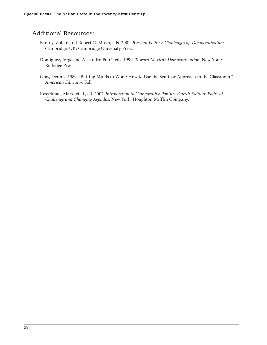# Additional Resources:

- Barany, Zoltan and Robert G. Moser, eds. 2001. *Russian Politics: Challenges of Democratization*. Cambridge, UK: Cambridge University Press.
- Domiguez, Jorge and Alejandro Poiré, eds. 1999. *Toward Mexico's Democratization*. New York: Rutledge Press.
- Gray, Dennis. 1989. "Putting Minds to Work: How to Use the Seminar Approach in the Classroom." *American Educator*, Fall.
- Kesselman, Mark, et al., ed. 2007. *Introduction to Comparative Politics, Fourth Edition: Political Challenge and Changing Agendas*. New York: Houghton Mifflin Company.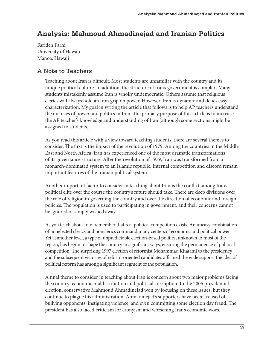# **Analysis: Mahmoud Ahmadinejad and Iranian Politics**

Farideh Farhi University of Hawaii Manoa, Hawaii

# A Note to Teachers

Teaching about Iran is difficult. Most students are unfamiliar with the country and its unique political culture. In addition, the structure of Iran's government is complex. Many students mistakenly assume Iran is wholly undemocratic. Others assume that religious clerics will always hold an iron grip on power. However, Iran is dynamic and defies easy characterization. My goal in writing the article that follows is to help AP teachers understand the nuances of power and politics in Iran. The primary purpose of this article is to increase the AP teacher's knowledge and understanding of Iran (although some sections might be assigned to students).

As you read this article with a view toward teaching students, there are several themes to consider. The first is the impact of the revolution of 1979. Among the countries in the Middle East and North Africa, Iran has experienced one of the most dramatic transformations of its governance structure. After the revolution of 1979, Iran was transformed from a monarch-dominated system to an Islamic republic. Internal competition and discord remain important features of the Iranian political system.

Another important factor to consider in teaching about Iran is the conflict among Iran's political elite over the course the country's future should take. There are deep divisions over the role of religion in governing the country and over the direction of economic and foreign policies. The population is used to participating in government, and their concerns cannot be ignored or simply wished away.

As you teach about Iran, remember that real political competition exists. An uneasy combination of nonelected clerics and nonclerics command many centers of economic and political power. Yet at another level, a type of unpredictable election-based politics, unknown to most of the region, has begun to shape the country in significant ways, ensuring the permanence of political competition. The surprising 1997 election of reformist Mohammad Khatami to the presidency and the subsequent victories of reform-oriented candidates affirmed the wide support the idea of political reform has among a significant segment of the population.

A final theme to consider in teaching about Iran is concern about two major problems facing the country: economic maldistribution and political corruption. In the 2005 presidential election, conservative Mahmoud Ahmadinejad won by focusing on these issues, but they continue to plague his administration. Ahmadinejad's supporters have been accused of bullying opponents, instigating violence, and even committing some election day fraud. The president has also faced criticism for cronyism and worsening Iran's economic woes.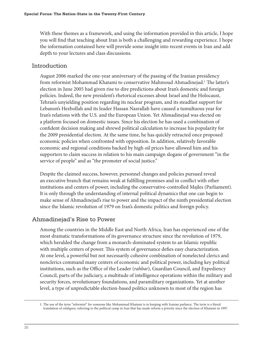With these themes as a framework, and using the information provided in this article, I hope you will find that teaching about Iran is both a challenging and rewarding experience. I hope the information contained here will provide some insight into recent events in Iran and add depth to your lectures and class discussions.

#### Introduction

August 2006 marked the one-year anniversary of the passing of the Iranian presidency from reformist Mohammad Khatami to conservative Mahmoud Ahmadinejad.<sup>1</sup> The latter's election in June 2005 had given rise to dire predictions about Iran's domestic and foreign policies. Indeed, the new president's rhetorical excesses about Israel and the Holocaust, Tehran's unyielding position regarding its nuclear program, and its steadfast support for Lebanon's Hezbollah and its leader Hassan Nasrallah have caused a tumultuous year for Iran's relations with the U.S. and the European Union. Yet Ahmadinejad was elected on a platform focused on domestic issues. Since his election he has used a combination of confident decision making and shrewd political calculation to increase his popularity for the 2009 presidential election. At the same time, he has quickly retracted once proposed economic policies when confronted with opposition. In addition, relatively favorable economic and regional conditions backed by high oil prices have allowed him and his supporters to claim success in relation to his main campaign slogans of government "in the service of people" and as "the promoter of social justice."

Despite the claimed success, however, personnel changes and policies pursued reveal an executive branch that remains weak at fulfilling promises and in conflict with other institutions and centers of power, including the conservative-controlled Majles (Parliament). It is only through the understanding of internal political dynamics that one can begin to make sense of Ahmadinejad's rise to power and the impact of the ninth presidential election since the Islamic revolution of 1979 on Iran's domestic politics and foreign policy.

# Ahmadinejad's Rise to Power

Among the countries in the Middle East and North Africa, Iran has experienced one of the most dramatic transformations of its governance structure since the revolution of 1979, which heralded the change from a monarch-dominated system to an Islamic republic with multiple centers of power. This system of governance defies easy characterization. At one level, a powerful but not necessarily cohesive combination of nonelected clerics and nonclerics command many centers of economic and political power, including key political institutions, such as the Office of the Leader (*rahbar*), Guardian Council, and Expediency Council, parts of the judiciary, a multitude of intelligence operations within the military and security forces, revolutionary foundations, and paramilitary organizations. Yet at another level, a type of unpredictable election-based politics unknown to most of the region has

<sup>1.</sup> The use of the term "reformist" for someone like Mohammad Khatami is in keeping with Iranian parlance. The term is a literal translation of *eslahgara,* referring to the political camp in Iran that has made reform a priority since the election of Khatami in 1997.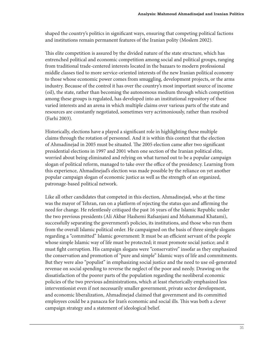shaped the country's politics in significant ways, ensuring that competing political factions and institutions remain permanent features of the Iranian polity (Moslem 2002).

This elite competition is assured by the divided nature of the state structure, which has entrenched political and economic competition among social and political groups, ranging from traditional trade-centered interests located in the bazaars to modern professional middle classes tied to more service-oriented interests of the new Iranian political economy to those whose economic power comes from smuggling, development projects, or the arms industry. Because of the control it has over the country's most important source of income (oil), the state, rather than becoming the autonomous medium through which competition among these groups is regulated, has developed into an institutional repository of these varied interests and an arena in which multiple claims over various parts of the state and resources are constantly negotiated, sometimes very acrimoniously, rather than resolved (Farhi 2003).

Historically, elections have a played a significant role in highlighting these multiple claims through the rotation of personnel. And it is within this context that the election of Ahmadinejad in 2005 must be situated. The 2005 election came after two significant presidential elections in 1997 and 2001 when one section of the Iranian political elite, worried about being eliminated and relying on what turned out to be a popular campaign slogan of political reform, managed to take over the office of the presidency. Learning from this experience, Ahmadinejad's election was made possible by the reliance on yet another popular campaign slogan of economic justice as well as the strength of an organized, patronage-based political network.

Like all other candidates that competed in this election, Ahmadinejad, who at the time was the mayor of Tehran, ran on a platform of rejecting the status quo and affirming the need for change. He relentlessly critiqued the past 16 years of the Islamic Republic under the two previous presidents (Ali Akbar Hashemi Rafsanjani and Mohammad Khatami), successfully separating the government's policies, its institutions, and those who run them from the overall Islamic political order. He campaigned on the basis of three simple slogans regarding a "committed" Islamic government: It must be an efficient servant of the people whose simple Islamic way of life must be protected; it must promote social justice; and it must fight corruption. His campaign slogans were "conservative" insofar as they emphasized the conservation and promotion of "pure and simple" Islamic ways of life and commitments. But they were also "populist" in emphasizing social justice and the need to use oil-generated revenue on social spending to reverse the neglect of the poor and needy. Drawing on the dissatisfaction of the poorer parts of the population regarding the neoliberal economic policies of the two previous administrations, which at least rhetorically emphasized less interventionist even if not necessarily smaller government, private sector development, and economic liberalization, Ahmadinejad claimed that government and its committed employees could be a panacea for Iran's economic and social ills. This was both a clever campaign strategy and a statement of ideological belief.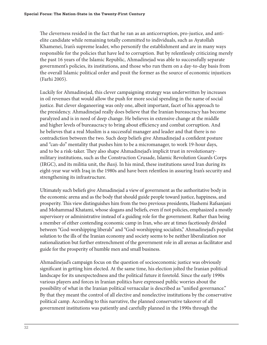The cleverness resided in the fact that he ran as an anticorruption, pro-justice, and antielite candidate while remaining totally committed to individuals, such as Ayatollah Khamenei, Iran's supreme leader, who personify the establishment and are in many ways responsible for the policies that have led to corruption. But by relentlessly criticizing merely the past 16 years of the Islamic Republic, Ahmadinejad was able to successfully separate government's policies, its institutions, and those who run them on a day-to-day basis from the overall Islamic political order and posit the former as the source of economic injustices (Farhi 2005).

Luckily for Ahmadinejad, this clever campaigning strategy was underwritten by increases in oil revenues that would allow the push for more social spending in the name of social justice. But clever sloganeering was only one, albeit important, facet of his approach to the presidency. Ahmadinejad really does believe that the Iranian bureaucracy has become paralyzed and is in need of deep change. He believes in extensive change at the middle and higher levels of bureaucracy to bring about efficiency and combat corruption. And he believes that a real Muslim is a successful manager and leader and that there is no contradiction between the two. Such deep beliefs give Ahmadinejad a confident posture and "can-do" mentality that pushes him to be a micromanager, to work 19-hour days, and to be a risk-taker. They also shape Ahmadinejad's implicit trust in revolutionarymilitary institutions, such as the Construction Crusade, Islamic Revolution Guards Corps (IRGC), and its militia unit, the *Basij*. In his mind, these institutions saved Iran during its eight-year war with Iraq in the 1980s and have been relentless in assuring Iran's security and strengthening its infrastructure.

Ultimately such beliefs give Ahmadinejad a view of government as the authoritative body in the economic arena and as the body that should guide people toward justice, happiness, and prosperity. This view distinguishes him from the two previous presidents, Hashemi Rafsanjani and Mohammad Khatami, whose slogans and beliefs, even if not policies, emphasized a mostly supervisory or administrative instead of a guiding role for the government. Rather than being a member of either contending economic camp in Iran, who are at times facetiously divided between "God-worshipping liberals" and "God-worshipping socialists," Ahmadinejad's populist solution to the ills of the Iranian economy and society seems to be neither liberalization nor nationalization but further entrenchment of the government role in all arenas as facilitator and guide for the prosperity of humble men and small business.

Ahmadinejad's campaign focus on the question of socioeconomic justice was obviously significant in getting him elected. At the same time, his election jolted the Iranian political landscape for its unexpectedness and the political future it foretold. Since the early 1990s various players and forces in Iranian politics have expressed public worries about the possibility of what in the Iranian political vernacular is described as "unified governance." By that they meant the control of all elective and nonelective institutions by the conservative political camp. According to this narrative, the planned conservative takeover of all government institutions was patiently and carefully planned in the 1990s through the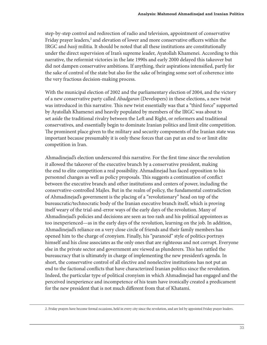step-by-step control and redirection of radio and television, appointment of conservative Friday prayer leaders,<sup>2</sup> and elevation of lower and more conservative officers within the IRGC and *basij* militia. It should be noted that all these institutions are constitutionally under the direct supervision of Iran's supreme leader, Ayatollah Khamenei. According to this narrative, the reformist victories in the late 1990s and early 2000 delayed this takeover but did not dampen conservative ambitions. If anything, their aspirations intensified, partly for the sake of control of the state but also for the sake of bringing some sort of coherence into the very fractious decision-making process.

With the municipal election of 2002 and the parliamentary election of 2004, and the victory of a new conservative party called *Abadgaran* (Developers) in these elections, a new twist was introduced in this narrative. This new twist essentially was that a "third force" supported by Ayatollah Khamenei and heavily populated by members of the IRGC was about to set aside the traditional rivalry between the Left and Right, or reformers and traditional conservatives, and essentially begin to dominate Iranian politics and limit elite competition. The prominent place given to the military and security components of the Iranian state was important because presumably it is only these forces that can put an end to or limit elite competition in Iran.

Ahmadinejad's election underscored this narrative. For the first time since the revolution it allowed the takeover of the executive branch by a conservative president, making the end to elite competition a real possibility. Ahmadinejad has faced opposition to his personnel changes as well as policy proposals. This suggests a continuation of conflict between the executive branch and other institutions and centers of power, including the conservative-controlled Majles. But in the realm of policy, the fundamental contradiction of Ahmadinejad's government is the placing of a "revolutionary" head on top of the bureaucratic/technocratic body of the Iranian executive branch itself, which is proving itself weary of the trial-and-error ways of the early days of the revolution. Many of Ahmadinejad's policies and decisions are seen as too rash and his political appointees as too inexperienced—as in the early days of the revolution, learning on the job. In addition, Ahmadinejad's reliance on a very close circle of friends and their family members has opened him to the charge of cronyism. Finally, his "paranoid" style of politics portrays himself and his close associates as the only ones that are righteous and not corrupt. Everyone else in the private sector and government are viewed as plunderers. This has rattled the bureaucracy that is ultimately in charge of implementing the new president's agenda. In short, the conservative control of all elective and nonelective institutions has not put an end to the factional conflicts that have characterized Iranian politics since the revolution. Indeed, the particular type of political cronyism in which Ahmadinejad has engaged and the perceived inexperience and incompetence of his team have ironically created a predicament for the new president that is not much different from that of Khatami.

<sup>2.</sup> Friday prayers have become formal occasions, held in every city since the revolution, and are led by appointed Friday prayer leaders.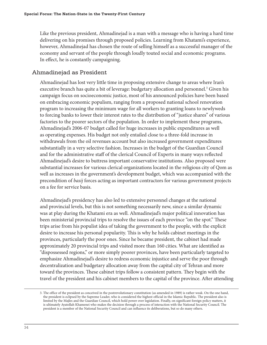Like the previous president, Ahmadinejad is a man with a message who is having a hard time delivering on his promises through proposed policies. Learning from Khatami's experience, however, Ahmadinejad has chosen the route of selling himself as a successful manager of the economy and servant of the people through loudly touted social and economic programs. In effect, he is constantly campaigning.

# Ahmadinejad as President

Ahmadinejad has lost very little time in proposing extensive change to areas where Iran's executive branch has quite a bit of leverage: budgetary allocation and personnel.<sup>3</sup> Given his campaign focus on socioeconomic justice, most of his announced policies have been based on embracing economic populism, ranging from a proposed national school renovation program to increasing the minimum wage for all workers to granting loans to newlyweds to forcing banks to lower their interest rates to the distribution of "justice shares" of various factories to the poorer sectors of the population. In order to implement these programs, Ahmadinejad's 2006-07 budget called for huge increases in public expenditures as well as operating expenses. His budget not only entailed close to a three-fold increase in withdrawals from the oil revenues account but also increased government expenditures substantially in a very selective fashion. Increases in the budget of the Guardian Council and for the administrative staff of the clerical Council of Experts in many ways reflected Ahmadinejad's desire to buttress important conservative institutions. Also proposed were substantial increases for various clerical organizations located in the religious city of Qom as well as increases in the government's development budget, which was accompanied with the precondition of *basij* forces acting as important contractors for various government projects on a fee for service basis.

Ahmadinejad's presidency has also led to extensive personnel changes at the national and provincial levels, but this is not something necessarily new, since a similar dynamic was at play during the Khatami era as well. Ahmadinejad's major political innovation has been ministerial provincial trips to resolve the issues of each province "on the spot." These trips arise from his populist idea of taking the government to the people, with the explicit desire to increase his personal popularity. This is why he holds cabinet meetings in the provinces, particularly the poor ones. Since he became president, the cabinet had made approximately 20 provincial trips and visited more than 160 cities. What are identified as "dispossessed regions," or more simply poorer provinces, have been particularly targeted to emphasize Ahmadinejad's desire to redress economic injustice and serve the poor through decentralization and budgetary allocation away from the capital city of Tehran and more toward the provinces. These cabinet trips follow a consistent pattern. They begin with the travel of the president and his cabinet members to the capital of the province. After attending

<sup>3.</sup> The office of the president as conceived in the postrevolutionary constitution (as amended in 1989) is rather weak. On the one hand, the president is eclipsed by the Supreme Leader, who is considered the highest official in the Islamic Republic. The president also is limited by the Majles and the Guardian Council, which hold power over legislation. Finally, on significant foreign policy matters, it is ultimately Ayatollah Khamenei who makes the decision through a process of interaction with the National Security Council. The president is a member of the National Security Council and can influence its deliberations, but so do many others.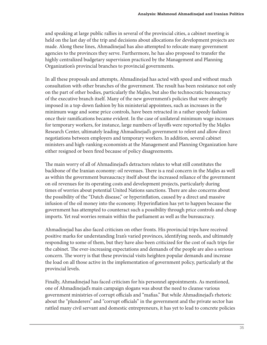and speaking at large public rallies in several of the provincial cities, a cabinet meeting is held on the last day of the trip and decisions about allocations for development projects are made. Along these lines, Ahmadinejad has also attempted to relocate many government agencies to the provinces they serve. Furthermore, he has also proposed to transfer the highly centralized budgetary supervision practiced by the Management and Planning Organization's provincial branches to provincial governments.

In all these proposals and attempts, Ahmadinejad has acted with speed and without much consultation with other branches of the government. The result has been resistance not only on the part of other bodies, particularly the Majles, but also the technocratic bureaucracy of the executive branch itself. Many of the new government's policies that were abruptly imposed in a top-down fashion by his ministerial appointees, such as increases in the minimum wage and some price controls, have been retracted in a rather speedy fashion once their ramifications became evident. In the case of unilateral minimum wage increases for temporary workers, for instance, large numbers of layoffs were reported by the Majles Research Center, ultimately leading Ahmadinejad's government to relent and allow direct negotiations between employers and temporary workers. In addition, several cabinet ministers and high-ranking economists at the Management and Planning Organization have either resigned or been fired because of policy disagreements.

The main worry of all of Ahmadinejad's detractors relates to what still constitutes the backbone of the Iranian economy: oil revenues. There is a real concern in the Majles as well as within the government bureaucracy itself about the increased reliance of the government on oil revenues for its operating costs and development projects, particularly during times of worries about potential United Nations sanctions. There are also concerns about the possibility of the "Dutch disease," or hyperinflation, caused by a direct and massive infusion of the oil money into the economy. Hyperinflation has yet to happen because the government has attempted to counteract such a possibility through price controls and cheap imports. Yet real worries remain within the parliament as well as the bureaucracy.

Ahmadinejad has also faced criticism on other fronts. His provincial trips have received positive marks for understanding Iran's varied provinces, identifying needs, and ultimately responding to some of them, but they have also been criticized for the cost of such trips for the cabinet. The ever-increasing expectations and demands of the people are also a serious concern. The worry is that these provincial visits heighten popular demands and increase the load on all those active in the implementation of government policy, particularly at the provincial levels.

Finally, Ahmadinejad has faced criticism for his personnel appointments. As mentioned, one of Ahmadinejad's main campaign slogans was about the need to cleanse various government ministries of corrupt officials and "mafias." But while Ahmadinejad's rhetoric about the "plunderers" and "corrupt officials" in the government and the private sector has rattled many civil servant and domestic entrepreneurs, it has yet to lead to concrete policies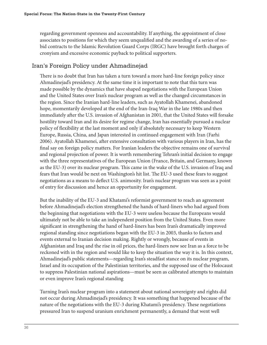regarding government openness and accountability. If anything, the appointment of close associates to positions for which they seem unqualified and the awarding of a series of nobid contracts to the Islamic Revolution Guard Corps (IRGC) have brought forth charges of cronyism and excessive economic payback to political supporters.

# Iran's Foreign Policy under Ahmadinejad

There is no doubt that Iran has taken a turn toward a more hard-line foreign policy since Ahmadinejad's presidency. At the same time it is important to note that this turn was made possible by the dynamics that have shaped negotiations with the European Union and the United States over Iran's nuclear program as well as the changed circumstances in the region. Since the Iranian hard-line leaders, such as Ayatollah Khamenei, abandoned hope, momentarily developed at the end of the Iran-Iraq War in the late 1980s and then immediately after the U.S. invasion of Afghanistan in 2001, that the United States will forsake hostility toward Iran and its desire for regime change, Iran has essentially pursued a nuclear policy of flexibility at the last moment and only if absolutely necessary to keep Western Europe, Russia, China, and Japan interested in continued engagement with Iran (Farhi 2006). Ayatollah Khamenei, after extensive consultation with various players in Iran, has the final say on foreign policy matters. For Iranian leaders the objective remains one of survival and regional projection of power. It is worth remembering Tehran's initial decision to engage with the three representatives of the European Union (France, Britain, and Germany, known as the EU-3) over its nuclear program. This came in the wake of the U.S. invasion of Iraq and fears that Iran would be next on Washington's hit list. The EU-3 used these fears to suggest negotiations as a means to deflect U.S. animosity. Iran's nuclear program was seen as a point of entry for discussion and hence an opportunity for engagement.

But the inability of the EU-3 and Khatami's reformist government to reach an agreement before Ahmadinejad's election strengthened the hands of hard-liners who had argued from the beginning that negotiations with the EU-3 were useless because the Europeans would ultimately not be able to take an independent position from the United States. Even more significant in strengthening the hand of hard-liners has been Iran's dramatically improved regional standing since negotiations began with the EU-3 in 2003, thanks to factors and events external to Iranian decision making. Rightly or wrongly, because of events in Afghanistan and Iraq and the rise in oil prices, the hard-liners now see Iran as a force to be reckoned with in the region and would like to keep the situation the way it is. In this context, Ahmadinejad's public statements—regarding Iran's steadfast stance on its nuclear program, Israel and its occupation of the Palestinian territories, and the supposed use of the Holocaust to suppress Palestinian national aspirations—must be seen as calibrated attempts to maintain or even improve Iran's regional standing

Turning Iran's nuclear program into a statement about national sovereignty and rights did not occur during Ahmadinejad's presidency. It was something that happened because of the nature of the negotiations with the EU-3 during Khatami's presidency. These negotiations pressured Iran to suspend uranium enrichment permanently, a demand that went well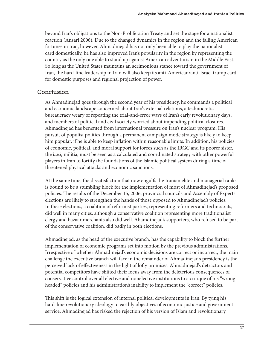beyond Iran's obligations to the Non-Proliferation Treaty and set the stage for a nationalist reaction (Ansari 2006). Due to the changed dynamics in the region and the falling American fortunes in Iraq, however, Ahmadinejad has not only been able to play the nationalist card domestically, he has also improved Iran's popularity in the region by representing the country as the only one able to stand up against American adventurism in the Middle East. So long as the United States maintains an acrimonious stance toward the government of Iran, the hard-line leadership in Iran will also keep its anti-American/anti-Israel trump card for domestic purposes and regional projection of power.

# Conclusion

As Ahmadinejad goes through the second year of his presidency, he commands a political and economic landscape concerned about Iran's external relations, a technocratic bureaucracy weary of repeating the trial-and-error ways of Iran's early revolutionary days, and members of political and civil society worried about impending political closures. Ahmadinejad has benefited from international pressure on Iran's nuclear program. His pursuit of populist politics through a permanent campaign mode strategy is likely to keep him popular, if he is able to keep inflation within reasonable limits. In addition, his policies of economic, political, and moral support for forces such as the IRGC and its poorer sister, the *basij* militia, must be seen as a calculated and coordinated strategy with other powerful players in Iran to fortify the foundations of the Islamic political system during a time of threatened physical attacks and economic sanctions.

At the same time, the dissatisfaction that now engulfs the Iranian elite and managerial ranks is bound to be a stumbling block for the implementation of most of Ahmadinejad's proposed policies. The results of the December 15, 2006, provincial councils and Assembly of Experts elections are likely to strengthen the hands of those opposed to Ahmadinejad's policies. In these elections, a coalition of reformist parties, representing reformers and technocrats, did well in many cities, although a conservative coalition representing more traditionalist clergy and bazaar merchants also did well. Ahamdinejad's supporters, who refused to be part of the conservative coalition, did badly in both elections.

Ahmadinejad, as the head of the executive branch, has the capability to block the further implementation of economic programs set into motion by the previous administrations. Irrespective of whether Ahmadinejad's economic decisions are correct or incorrect, the main challenge the executive branch will face in the remainder of Ahmadinejad's presidency is the perceived lack of effectiveness in the light of lofty promises. Ahmadinejad's detractors and potential competitors have shifted their focus away from the deleterious consequences of conservative control over all elective and nonelective institutions to a critique of his "wrongheaded" policies and his administration's inability to implement the "correct" policies.

This shift is the logical extension of internal political developments in Iran. By tying his hard-line revolutionary ideology to earthly objectives of economic justice and government service, Ahmadinejad has risked the rejection of his version of Islam and revolutionary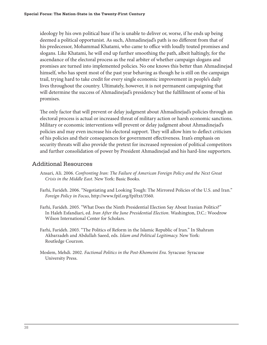ideology by his own political base if he is unable to deliver or, worse, if he ends up being deemed a political opportunist. As such, Ahmadinejad's path is no different from that of his predecessor, Mohammad Khatami, who came to office with loudly touted promises and slogans. Like Khatami, he will end up further smoothing the path, albeit haltingly, for the ascendance of the electoral process as the real arbiter of whether campaign slogans and promises are turned into implemented policies. No one knows this better than Ahmadinejad himself, who has spent most of the past year behaving as though he is still on the campaign trail, trying hard to take credit for every single economic improvement in people's daily lives throughout the country. Ultimately, however, it is not permanent campaigning that will determine the success of Ahmadinejad's presidency but the fulfillment of some of his promises.

The only factor that will prevent or delay judgment about Ahmadinejad's policies through an electoral process is actual or increased threat of military action or harsh economic sanctions. Military or economic interventions will prevent or delay judgment about Ahmadinejad's policies and may even increase his electoral support. They will allow him to deflect criticism of his policies and their consequences for government effectiveness. Iran's emphasis on security threats will also provide the pretext for increased repression of political competitors and further consolidation of power by President Ahmadinejad and his hard-line supporters.

#### Additional Resources

- Ansari, Ali. 2006. *Confronting Iran: The Failure of American Foreign Policy and the Next Great Crisis in the Middle East*. New York: Basic Books.
- Farhi, Farideh. 2006. "Negotiating and Looking Tough: The Mirrored Policies of the U.S. and Iran." *Foreign Policy in Focus*, http://www.fpif.org/fpiftxt/3560.
- Farhi, Farideh. 2005. "What Does the Ninth Presidential Election Say About Iranian Politics?" In Haleh Esfandiari, ed. *Iran After the June Presidential Election*. Washington, D.C.: Woodrow Wilson International Center for Scholars.
- Farhi, Farideh. 2003. "The Politics of Reform in the Islamic Republic of Iran." In Shahram Akbarzadeh and Abdullah Saeed, eds. *Islam and Political Legitimacy*. New York: Routledge Courzon.
- Moslem, Mehdi. 2002. *Factional Politics in the Post-Khomeini Era*. Syracuse: Syracuse University Press.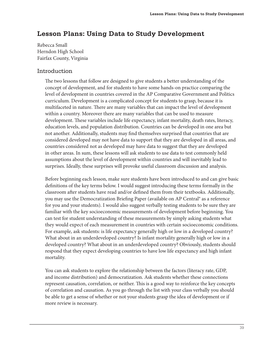# **Lesson Plans: Using Data to Study Development**

Rebecca Small Herndon High School Fairfax County, Virginia

#### Introduction

The two lessons that follow are designed to give students a better understanding of the concept of development, and for students to have some hands-on practice comparing the level of development in countries covered in the AP Comparative Government and Politics curriculum. Development is a complicated concept for students to grasp, because it is multifaceted in nature. There are many variables that can impact the level of development within a country. Moreover there are many variables that can be used to measure development. These variables include life expectancy, infant mortality, death rates, literacy, education levels, and population distribution. Countries can be developed in one area but not another. Additionally, students may find themselves surprised that countries that are considered developed may not have data to support that they are developed in all areas, and countries considered not as developed may have data to suggest that they are developed in other areas. In sum, these lessons will ask students to use data to test commonly held assumptions about the level of development within countries and will inevitably lead to surprises. Ideally, these surprises will provoke useful classroom discussion and analysis.

Before beginning each lesson, make sure students have been introduced to and can give basic definitions of the key terms below. I would suggest introducing these terms formally in the classroom after students have read and/or defined them from their textbooks. Additionally, you may use the Democratization Briefing Paper (available on AP Central® as a reference for you and your students). I would also suggest verbally testing students to be sure they are familiar with the key socioeconomic measurements of development before beginning. You can test for student understanding of these measurements by simply asking students what they would expect of each measurement in countries with certain socioeconomic conditions. For example, ask students: is life expectancy generally high or low in a developed country? What about in an underdeveloped country? Is infant mortality generally high or low in a developed country? What about in an underdeveloped country? Obviously, students should respond that they expect developing countries to have low life expectancy and high infant mortality.

You can ask students to explore the relationship between the factors (literacy rate, GDP, and income distribution) and democratization. Ask students whether these connections represent causation, correlation, or neither. This is a good way to reinforce the key concepts of correlation and causation. As you go through the list with your class verbally you should be able to get a sense of whether or not your students grasp the idea of development or if more review is necessary.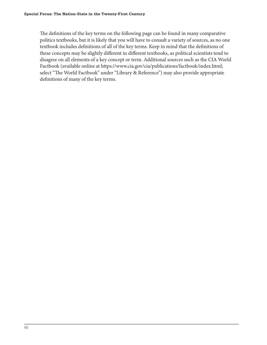The definitions of the key terms on the following page can be found in many comparative politics textbooks, but it is likely that you will have to consult a variety of sources, as no one textbook includes definitions of all of the key terms. Keep in mind that the definitions of these concepts may be slightly different in different textbooks, as political scientists tend to disagree on all elements of a key concept or term. Additional sources such as the CIA World Factbook (available online at https://www.cia.gov/cia/publications/factbook/index.html; select "The World Factbook" under "Library & Reference") may also provide appropriate definitions of many of the key terms.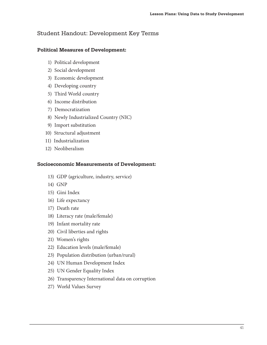# Student Handout: Development Key Terms

#### **Political Measures of Development:**

- 1) Political development
- 2) Social development
- 3) Economic development
- 4) Developing country
- 5) Third World country
- 6) Income distribution
- 7) Democratization
- 8) Newly Industrialized Country (NIC)
- 9) Import substitution
- 10) Structural adjustment
- 11) Industrialization
- 12) Neoliberalism

#### **Socioeconomic Measurements of Development:**

- 13) GDP (agriculture, industry, service)
- 14) GNP
- 15) Gini Index
- 16) Life expectancy
- 17) Death rate
- 18) Literacy rate (male/female)
- 19) Infant mortality rate
- 20) Civil liberties and rights
- 21) Women's rights
- 22) Education levels (male/female)
- 23) Population distribution (urban/rural)
- 24) UN Human Development Index
- 25) UN Gender Equality Index
- 26) Transparency International data on corruption
- 27) World Values Survey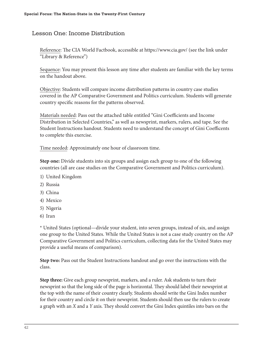# Lesson One: Income Distribution

Reference: The CIA World Factbook, accessible at https://www.cia.gov/ (see the link under "Library & Reference")

Sequence: You may present this lesson any time after students are familiar with the key terms on the handout above.

Objective: Students will compare income distribution patterns in country case studies covered in the AP Comparative Government and Politics curriculum. Students will generate country specific reasons for the patterns observed.

Materials needed: Pass out the attached table entitled "Gini Coefficients and Income Distribution in Selected Countries," as well as newsprint, markers, rulers, and tape. See the Student Instructions handout. Students need to understand the concept of Gini Coefficents to complete this exercise.

Time needed: Approximately one hour of classroom time.

**Step one:** Divide students into six groups and assign each group to one of the following countries (all are case studies on the Comparative Government and Politics curriculum).

- 1) United Kingdom
- 2) Russia
- 3) China
- 4) Mexico
- 5) Nigeria
- 6) Iran

\* United States (optional—divide your student, into seven groups, instead of six, and assign one group to the United States. While the United States is not a case study country on the AP Comparative Government and Politics curriculum, collecting data for the United States may provide a useful means of comparison).

**Step two:** Pass out the Student Instructions handout and go over the instructions with the class.

**Step three:** Give each group newsprint, markers, and a ruler. Ask students to turn their newsprint so that the long side of the page is horizontal. They should label their newsprint at the top with the name of their country clearly. Students should write the Gini Index number for their country and circle it on their newsprint. Students should then use the rulers to create a graph with an *X* and a *Y* axis. They should convert the Gini Index quintiles into bars on the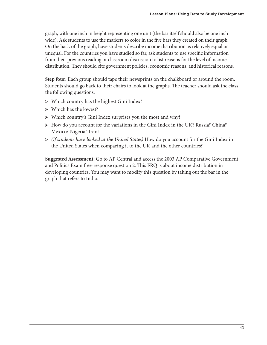graph, with one inch in height representing one unit (the bar itself should also be one inch wide). Ask students to use the markers to color in the five bars they created on their graph. On the back of the graph, have students describe income distribution as relatively equal or unequal. For the countries you have studied so far, ask students to use specific information from their previous reading or classroom discussion to list reasons for the level of income distribution. They should cite government policies, economic reasons, and historical reasons.

**Step four:** Each group should tape their newsprints on the chalkboard or around the room. Students should go back to their chairs to look at the graphs. The teacher should ask the class the following questions:

- Which country has the highest Gini Index?
- $\triangleright$  Which has the lowest?
- Which country's Gini Index surprises you the most and why?
- $\triangleright$  How do you account for the variations in the Gini Index in the UK? Russia? China? Mexico? Nigeria? Iran?
- *(If students have looked at the United States)* How do you account for the Gini Index in the United States when comparing it to the UK and the other countries?

**Suggested Assessment:** Go to AP Central and access the 2003 AP Comparative Government and Politics Exam free-response question 2. This FRQ is about income distribution in developing countries. You may want to modify this question by taking out the bar in the graph that refers to India.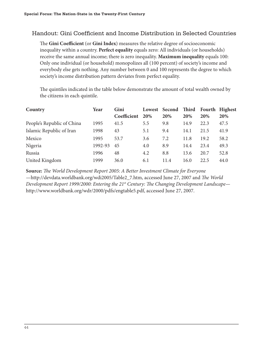# Handout: Gini Coefficient and Income Distribution in Selected Countries

The Gini Coefficient (or Gini Index) measures the relative degree of socioeconomic inequality within a country. **Perfect equality** equals zero: All individuals (or households) receive the same annual income; there is zero inequality. **Maximum inequality** equals 100: Only one individual (or household) monopolizes all (100 percent) of society's income and everybody else gets nothing. Any number between 0 and 100 represents the degree to which society's income distribution pattern deviates from perfect equality.

The quintiles indicated in the table below demonstrate the amount of total wealth owned by the citizens in each quintile.

| Country                    | Year    | Gini        |     | Lowest Second Third |      |      | Fourth Highest |
|----------------------------|---------|-------------|-----|---------------------|------|------|----------------|
|                            |         | Coefficient | 20% | 20%                 | 20%  | 20%  | <b>20%</b>     |
| People's Republic of China | 1995    | 41.5        | 5.5 | 9.8                 | 14.9 | 22.3 | 47.5           |
| Islamic Republic of Iran   | 1998    | 43          | 5.1 | 9.4                 | 14.1 | 21.5 | 41.9           |
| Mexico                     | 1995    | 53.7        | 3.6 | 7.2                 | 11.8 | 19.2 | 58.2           |
| Nigeria                    | 1992-93 | 45          | 4.0 | 8.9                 | 14.4 | 23.4 | 49.3           |
| Russia                     | 1996    | 48          | 4.2 | 8.8                 | 13.6 | 20.7 | 52.8           |
| United Kingdom             | 1999    | 36.0        | 6.1 | 11.4                | 16.0 | 22.5 | 44.0           |

**Source:** *The World Development Report 2005: A Better Investment Climate for Everyone*  $-$ http://devdata.worldbank.org/wdi2005/Table2\_7.htm, accessed June 27, 2007 and *The World Development Report 1999/2000: Entering the 21<sup>st</sup> Century: The Changing Development Landscape* http://www.worldbank.org/wdr/2000/pdfs/engtable5.pdf, accessed June 27, 2007.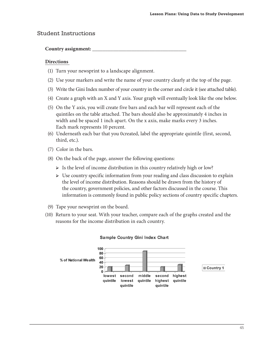# Student Instructions

#### **Country assignment: \_\_\_\_\_\_\_\_\_\_\_\_\_\_\_\_\_\_\_\_\_\_\_\_\_\_\_\_\_\_\_\_\_\_\_\_**

#### **Directions**

- (1) Turn your newsprint to a landscape alignment.
- (2) Use your markers and write the name of your country clearly at the top of the page.
- (3) Write the Gini Index number of your country in the corner and circle it (see attached table).
- (4) Create a graph with an X and Y axis. Your graph will eventually look like the one below.
- (5) On the Y axis, you will create five bars and each bar will represent each of the quintiles on the table attached. The bars should also be approximately 4 inches in width and be spaced 1 inch apart. On the x axis, make marks every 3 inches. Each mark represents 10 percent.
- (6) Underneath each bar that you 0created, label the appropriate quintile (first, second, third, etc.).
- (7) Color in the bars.
- (8) On the back of the page, answer the following questions:
	- $\triangleright$  Is the level of income distribution in this country relatively high or low?
	- $\triangleright$  Use country specific information from your reading and class discussion to explain the level of income distribution. Reasons should be drawn from the history of the country, government policies, and other factors discussed in the course. This information is commonly found in public policy sections of country specific chapters.
- (9) Tape your newsprint on the board.
- (10) Return to your seat. With your teacher, compare each of the graphs created and the reasons for the income distribution in each country.



#### **Sample Country Gini Index Chart**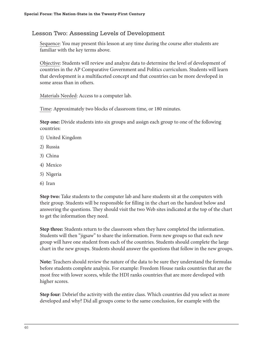# Lesson Two: Assessing Levels of Development

Sequence: You may present this lesson at any time during the course after students are familiar with the key terms above.

Objective: Students will review and analyze data to determine the level of development of countries in the AP Comparative Government and Politics curriculum. Students will learn that development is a multifaceted concept and that countries can be more developed in some areas than in others.

Materials Needed: Access to a computer lab.

Time: Approximately two blocks of classroom time, or 180 minutes.

**Step one:** Divide students into six groups and assign each group to one of the following countries:

- 1) United Kingdom
- 2) Russia
- 3) China
- 4) Mexico
- 5) Nigeria
- 6) Iran

**Step two:** Take students to the computer lab and have students sit at the computers with their group. Students will be responsible for filling in the chart on the handout below and answering the questions. They should visit the two Web sites indicated at the top of the chart to get the information they need.

**Step three:** Students return to the classroom when they have completed the information. Students will then "jigsaw" to share the information. Form new groups so that each new group will have one student from each of the countries. Students should complete the large chart in the new groups. Students should answer the questions that follow in the new groups.

**Note:** Teachers should review the nature of the data to be sure they understand the formulas before students complete analysis. For example: Freedom House ranks countries that are the most free with lower scores, while the HDI ranks countries that are more developed with higher scores.

**Step four**: Debrief the activity with the entire class. Which countries did you select as more developed and why? Did all groups come to the same conclusion, for example with the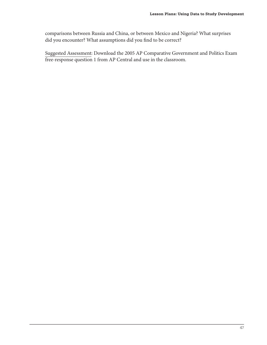comparisons between Russia and China, or between Mexico and Nigeria? What surprises did you encounter? What assumptions did you find to be correct?

Suggested Assessment: Download the 2005 AP Comparative Government and Politics Exam free-response question 1 from AP Central and use in the classroom.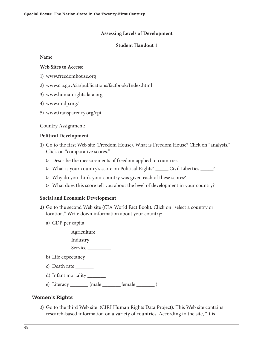#### **Assessing Levels of Development**

#### **Student Handout 1**

Name \_\_\_\_\_\_\_\_\_\_\_\_\_\_\_\_\_

#### **Web Sites to Access:**

- 1) www.freedomhouse.org
- 2) www.cia.gov/cia/publications/factbook/Index.html
- 3) www.humanrightsdata.org
- 4) www.undp.org/
- 5) www.transparency.org/cpi

Country Assignment: \_\_\_\_\_\_\_\_\_\_\_\_\_\_\_\_

#### **Political Development**

- **1)** Go to the first Web site (Freedom House). What is Freedom House? Click on "analysis." Click on "comparative scores."
	- Describe the measurements of freedom applied to countries.
	- What is your country's score on Political Rights? \_\_\_\_\_ Civil Liberties \_\_\_\_\_?
	- $\triangleright$  Why do you think your country was given each of these scores?
	- What does this score tell you about the level of development in your country?

#### **Social and Economic Development**

- **2)** Go to the second Web site (CIA World Fact Book). Click on "select a country or location." Write down information about your country:
	- a) GDP per capita \_\_\_\_\_\_\_\_\_\_\_\_\_\_\_\_\_

 Agriculture \_\_\_\_\_\_\_ Industry \_\_\_\_\_\_\_\_\_ Service

- b) Life expectancy \_\_\_\_\_\_\_\_
- c) Death rate \_\_\_\_\_\_\_
- d) Infant mortality \_\_\_\_\_\_\_\_
- e) Literacy \_\_\_\_\_\_\_ (male \_\_\_\_\_\_\_ female \_\_\_\_\_\_\_ )

#### **Women's Rights**

3) Go to the third Web site (CIRI Human Rights Data Project). This Web site contains research-based information on a variety of countries. According to the site, "It is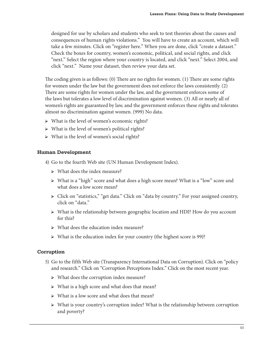designed for use by scholars and students who seek to test theories about the causes and consequences of human rights violations." You will have to create an account, which will take a few minutes. Click on "register here." When you are done, click "create a dataset." Check the boxes for country, women's economic, political, and social rights, and click "next." Select the region where your country is located, and click "next." Select 2004, and click "next." Name your dataset, then review your data set.

The coding given is as follows:  $(0)$  There are no rights for women.  $(1)$  There are some rights for women under the law but the government does not enforce the laws consistently. (2) There are some rights for women under the law, and the government enforces some of the laws but tolerates a low level of discrimination against women. (3) All or nearly all of women's rights are guaranteed by law, and the government enforces these rights and tolerates almost no discrimination against women. (999) No data.

- What is the level of women's economic rights?
- What is the level of women's political rights?
- What is the level of women's social rights?

#### **Human Development**

- 4) Go to the fourth Web site (UN Human Development Index).
	- What does the index measure?
	- What is a "high" score and what does a high score mean? What is a "low" score and what does a low score mean?
	- Click on "statistics," "get data." Click on "data by country." For your assigned country, click on "data."
	- What is the relationship between geographic location and HDI? How do you account for this?
	- What does the education index measure?
	- What is the education index for your country (the highest score is 99)?

#### **Corruption**

- 5) Go to the fifth Web site (Transparency International Data on Corruption). Click on "policy and research." Click on "Corruption Perceptions Index." Click on the most recent year.
	- What does the corruption index measure?
	- $\triangleright$  What is a high score and what does that mean?
	- $\triangleright$  What is a low score and what does that mean?
	- $\triangleright$  What is your country's corruption index? What is the relationship between corruption and poverty?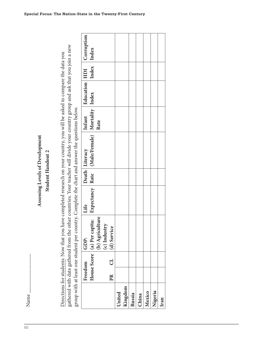50

| other countries. Your teacher will divide your country group and ask that you join a new<br>Directions for students: Now that you have completed research on your country, you will be asked to compare the data you<br>Index<br>Education HDI<br>(Male/Female) Mortality Index<br>group with at least one student per country. Complete the chart and answer the questions below.<br>Infant<br>Rate<br>Assessing Levels of Development<br>Death Literacy<br>Student Handout 2<br>Expectancy Rate<br>Life<br>(b) Agriculture<br>House Score (a) Per capita:<br>(c) Industry<br>(d) Service<br>gathered with data gathered from the<br>GDP:<br>J<br>Freedom<br>PR<br>Kingdom<br>United<br>Nigeria<br>Mexico<br>Russia<br>China<br>Iran |      |  |  | Corruption | Index |  |  |  |  |  |
|---------------------------------------------------------------------------------------------------------------------------------------------------------------------------------------------------------------------------------------------------------------------------------------------------------------------------------------------------------------------------------------------------------------------------------------------------------------------------------------------------------------------------------------------------------------------------------------------------------------------------------------------------------------------------------------------------------------------------------------|------|--|--|------------|-------|--|--|--|--|--|
|                                                                                                                                                                                                                                                                                                                                                                                                                                                                                                                                                                                                                                                                                                                                       |      |  |  |            |       |  |  |  |  |  |
|                                                                                                                                                                                                                                                                                                                                                                                                                                                                                                                                                                                                                                                                                                                                       |      |  |  |            |       |  |  |  |  |  |
|                                                                                                                                                                                                                                                                                                                                                                                                                                                                                                                                                                                                                                                                                                                                       |      |  |  |            |       |  |  |  |  |  |
|                                                                                                                                                                                                                                                                                                                                                                                                                                                                                                                                                                                                                                                                                                                                       |      |  |  |            |       |  |  |  |  |  |
|                                                                                                                                                                                                                                                                                                                                                                                                                                                                                                                                                                                                                                                                                                                                       |      |  |  |            |       |  |  |  |  |  |
|                                                                                                                                                                                                                                                                                                                                                                                                                                                                                                                                                                                                                                                                                                                                       |      |  |  |            |       |  |  |  |  |  |
|                                                                                                                                                                                                                                                                                                                                                                                                                                                                                                                                                                                                                                                                                                                                       |      |  |  |            |       |  |  |  |  |  |
|                                                                                                                                                                                                                                                                                                                                                                                                                                                                                                                                                                                                                                                                                                                                       |      |  |  |            |       |  |  |  |  |  |
|                                                                                                                                                                                                                                                                                                                                                                                                                                                                                                                                                                                                                                                                                                                                       |      |  |  |            |       |  |  |  |  |  |
|                                                                                                                                                                                                                                                                                                                                                                                                                                                                                                                                                                                                                                                                                                                                       | Name |  |  |            |       |  |  |  |  |  |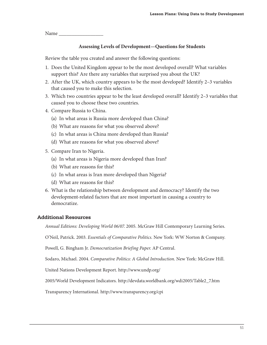Name \_\_\_\_\_\_\_\_\_\_\_\_\_\_\_\_\_

#### **Assessing Levels of Development—Questions for Students**

Review the table you created and answer the following questions:

- 1. Does the United Kingdom appear to be the most developed overall? What variables support this? Are there any variables that surprised you about the UK?
- 2. After the UK, which country appears to be the most developed? Identify 2–3 variables that caused you to make this selection.
- 3. Which two countries appear to be the least developed overall? Identify 2–3 variables that caused you to choose these two countries.
- 4. Compare Russia to China.
	- (a) In what areas is Russia more developed than China?
	- (b) What are reasons for what you observed above?
	- (c) In what areas is China more developed than Russia?
	- (d) What are reasons for what you observed above?
- 5. Compare Iran to Nigeria.
	- (a) In what areas is Nigeria more developed than Iran?
	- (b) What are reasons for this?
	- (c) In what areas is Iran more developed than Nigeria?
	- (d) What are reasons for this?
- 6. What is the relationship between development and democracy? Identify the two development-related factors that are most important in causing a country to democratize.

#### **Additional Resources**

*Annual Editions: Developing World 06/07*. 2005. McGraw Hill Contemporary Learning Series.

O'Neil, Patrick. 2003. *Essentials of Comparative Politics*. New York: WW Norton & Company.

Powell, G. Bingham Jr. *Democratization Briefing Paper*. AP Central.

Sodaro, Michael. 2004. *Comparative Politics: A Global Introduction*. New York: McGraw Hill.

United Nations Development Report. http://www.undp.org/

2005/World Development Indicators. http://devdata.worldbank.org/wdi2005/Table2\_7.htm

Transparency International. http://www.transparency.org/cpi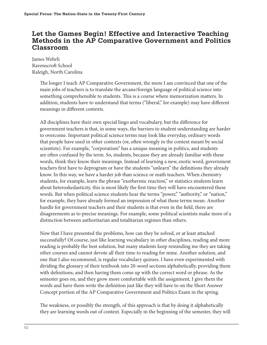# **Let the Games Begin! Effective and Interactive Teaching Methods in the AP Comparative Government and Politics Classroom**

James Wehrli Ravenscroft School Raleigh, North Carolina

> The longer I teach AP Comparative Government, the more I am convinced that one of the main jobs of teachers is to translate the arcane/foreign language of political science into something comprehensible to students. This is a course where memorization matters. In addition, students have to understand that terms ("liberal," for example) may have different meanings in different contexts.

> All disciplines have their own special lingo and vocabulary, but the difference for government teachers is that, in some ways, the barriers to student understanding are harder to overcome. Important political science terms may look like everyday, ordinary words that people have used in other contexts (or, often wrongly in the context meant by social scientists). For example, "corporatism" has a unique meaning in politics, and students are often confused by the term. So, students, because they are already familiar with these words, think they know their meanings. Instead of learning a new, exotic word, government teachers first have to deprogram or have the students "unlearn" the definitions they already know. In this way, we have a harder job than science or math teachers. When chemistry students, for example, learn the phrase "exothermic reaction," or statistics students learn about heteroskedasticity, this is most likely the first time they will have encountered these words. But when political science students hear the terms "power," "authority," or "nation," for example, they have already formed an impression of what these terms mean. Another hurdle for government teachers and their students is that even in the field, there are disagreements as to precise meanings. For example, some political scientists make more of a distinction between authoritarian and totalitarian regimes than others.

> Now that I have presented the problems, how can they be solved, or at least attacked successfully? Of course, just like learning vocabulary in other disciplines, reading and more reading is probably the best solution, but many students keep reminding me they are taking other courses and cannot devote all their time to reading for mine. Another solution, and one that I also recommend, is regular vocabulary quizzes. I have even experimented with dividing the glossary of their textbook into 20-word sections alphabetically, providing them with definitions, and then having them come up with the correct word or phrase. As the semester goes on, and they grow more comfortable with the assignment, I give them the words and have them write the definition just like they will have to on the Short Answer Concept portion of the AP Comparative Government and Politics Exam in the spring.

> The weakness, or possibly the strength, of this approach is that by doing it alphabetically they are learning words out of context. Especially in the beginning of the semester, they will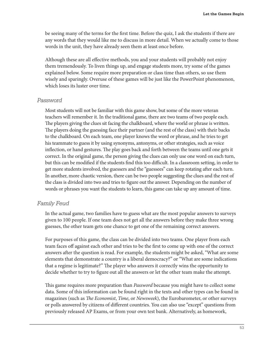be seeing many of the terms for the first time. Before the quiz, I ask the students if there are any words that they would like me to discuss in more detail. When we actually come to those words in the unit, they have already seen them at least once before.

Although these are all effective methods, you and your students will probably not enjoy them tremendously. To liven things up, and engage students more, try some of the games explained below. Some require more preparation or class time than others, so use them wisely and sparingly. Overuse of these games will be just like the PowerPoint phenomenon, which loses its luster over time.

#### *Password*

Most students will not be familiar with this game show, but some of the more veteran teachers will remember it. In the traditional game, there are two teams of two people each. The players giving the clues sit facing the chalkboard, where the world or phrase is written. The players doing the guessing face their partner (and the rest of the class) with their backs to the chalkboard. On each team, one player knows the word or phrase, and he tries to get his teammate to guess it by using synonyms, antonyms, or other strategies, such as voice inflection, or hand gestures. The play goes back and forth between the teams until one gets it correct. In the original game, the person giving the clues can only use one word on each turn, but this can be modified if the students find this too difficult. In a classroom setting, in order to get more students involved, the guessers and the "guessees" can keep rotating after each turn. In another, more chaotic version, there can be two people suggesting the clues and the rest of the class is divided into two and tries to figure out the answer. Depending on the number of words or phrases you want the students to learn, this game can take up any amount of time.

#### *Family Feud*

In the actual game, two families have to guess what are the most popular answers to surveys given to 100 people. If one team does not get all the answers before they make three wrong guesses, the other team gets one chance to get one of the remaining correct answers.

For purposes of this game, the class can be divided into two teams. One player from each team faces off against each other and tries to be the first to come up with one of the correct answers after the question is read. For example, the students might be asked, "What are some elements that demonstrate a country is a liberal democracy?" or "What are some indications that a regime is legitimate?" The player who answers it correctly wins the opportunity to decide whether to try to figure out all the answers or let the other team make the attempt.

This game requires more preparation than *Password* because you might have to collect some data. Some of this information can be found right in the texts and other types can be found in magazines (such as *The Economist, Time*, or *Newsweek*), the Eurobarometer, or other surveys or polls answered by citizens of different countries. You can also use "except" questions from previously released AP Exams, or from your own test bank. Alternatively, as homework,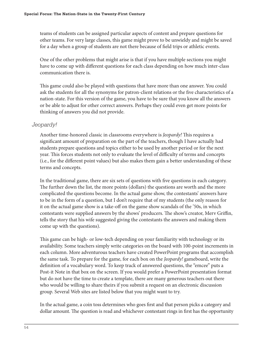teams of students can be assigned particular aspects of content and prepare questions for other teams. For very large classes, this game might prove to be unwieldy and might be saved for a day when a group of students are not there because of field trips or athletic events.

One of the other problems that might arise is that if you have multiple sections you might have to come up with different questions for each class depending on how much inter-class communication there is.

This game could also be played with questions that have more than one answer. You could ask the students for all the synonyms for patron-client relations or the five characteristics of a nation-state. For this version of the game, you have to be sure that you know all the answers or be able to adjust for other correct answers. Perhaps they could even get more points for thinking of answers you did not provide.

#### *Jeopardy!*

Another time-honored classic in classrooms everywhere is *Jeopardy!* This requires a significant amount of preparation on the part of the teachers, though I have actually had students prepare questions and topics either to be used by another period or for the next year. This forces students not only to evaluate the level of difficulty of terms and concepts (i.e., for the different point values) but also makes them gain a better understanding of these terms and concepts.

In the traditional game, there are six sets of questions with five questions in each category. The further down the list, the more points (dollars) the questions are worth and the more complicated the questions become. In the actual game show, the contestants' answers have to be in the form of a question, but I don't require that of my students (the only reason for it on the actual game show is a take-off on the game show scandals of the '50s, in which contestants were supplied answers by the shows' producers. The show's creator, Merv Griffin, tells the story that his wife suggested giving the contestants the answers and making them come up with the questions).

This game can be high- or low-tech depending on your familiarity with technology or its availability. Some teachers simply write categories on the board with 100-point increments in each column. More adventurous teachers have created PowerPoint programs that accomplish the same task. To prepare for the game, for each box on the *Jeopardy!* gameboard, write the definition of a vocabulary word. To keep track of answered questions, the "emcee" puts a Post-it Note in that box on the screen. If you would prefer a PowerPoint presentation format but do not have the time to create a template, there are many generous teachers out there who would be willing to share theirs if you submit a request on an electronic discussion group. Several Web sites are listed below that you might want to try.

In the actual game, a coin toss determines who goes first and that person picks a category and dollar amount. The question is read and whichever contestant rings in first has the opportunity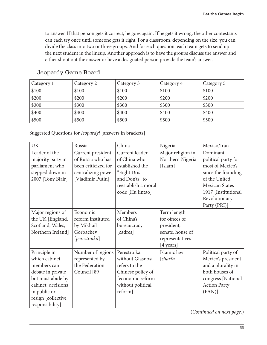to answer. If that person gets it correct, he goes again. If he gets it wrong, the other contestants can each try once until someone gets it right. For a classroom, depending on the size, you can divide the class into two or three groups. And for each question, each team gets to send up the next student in the lineup. Another approach is to have the groups discuss the answer and either shout out the answer or have a designated person provide the team's answer.

| Category 1 | Category 2 | Category 3 | Category 4 | Category 5 |
|------------|------------|------------|------------|------------|
| \$100      | \$100      | \$100      | \$100      | \$100      |
| \$200      | \$200      | \$200      | \$200      | \$200      |
| \$300      | \$300      | \$300      | \$300      | \$300      |
| \$400      | \$400      | \$400      | \$400      | \$400      |
| \$500      | \$500      | \$500      | \$500      | \$500      |

# Jeopardy Game Board

Suggested Questions for *Jeopardy!* [answers in brackets]

| <b>UK</b>          | Russia              | China               | Nigeria           | Mexico/Iran           |
|--------------------|---------------------|---------------------|-------------------|-----------------------|
| Leader of the      | Current president   | Current leader      | Major religion in | Dominant              |
| majority party in  | of Russia who has   | of China who        | Northern Nigeria  | political party for   |
| parliament who     | been criticized for | established the     | [Islam]           | most of Mexico's      |
| stepped down in    | centralizing power  | "Eight Do's         |                   | since the founding    |
| 2007 [Tony Blair]  | [Vladimir Putin]    | and Don'ts" to      |                   | of the United         |
|                    |                     | reestablish a moral |                   | <b>Mexican States</b> |
|                    |                     | code [Hu Jintao]    |                   | 1917 [Institutional   |
|                    |                     |                     |                   | Revolutionary         |
|                    |                     |                     |                   | Party (PRI)]          |
| Major regions of   | Economic            | Members             | Term length       |                       |
| the UK [England,   | reform instituted   | of China's          | for offices of    |                       |
| Scotland, Wales,   | by Mikhail          | bureaucracy         | president,        |                       |
| Northern Ireland]  | Gorbachev           | [cadres]            | senate, house of  |                       |
|                    | [perestroika]       |                     | representatives   |                       |
|                    |                     |                     | [4 years]         |                       |
| Principle in       | Number of regions   | Perestroika         | Islamic law       | Political party of    |
| which cabinet      | represented by      | without Glasnost    | [shari'a]         | Mexico's president    |
| members can        | the Federation      | refers to the       |                   | and a plurality in    |
| debate in private  | Council [89]        | Chinese policy of   |                   | both houses of        |
| but must abide by  |                     | [economic reform    |                   | congress [National    |
| cabinet decisions  |                     | without political   |                   | <b>Action Party</b>   |
| in public or       |                     | reform]             |                   | (PAN)                 |
| resign [collective |                     |                     |                   |                       |
| responsibility]    |                     |                     |                   |                       |

(*Continued on next page.*)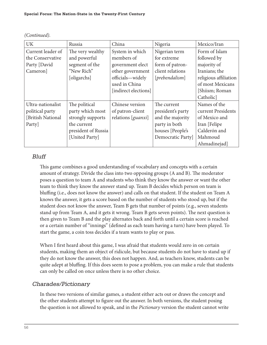| <b>UK</b>         | Russia              | China                | Nigeria           | Mexico/Iran           |
|-------------------|---------------------|----------------------|-------------------|-----------------------|
| Current leader of | The very wealthy    | System in which      | Nigerian term     | Form of Islam         |
| the Conservative  | and powerful        | members of           | for extreme       | followed by           |
| Party [David      | segment of the      | government elect     | form of patron-   | majority of           |
| Cameron]          | "New Rich"          | other government     | client relations  | Iranians; the         |
|                   | [oligarchs]         | officials-widely     | [prebendalism]    | religious affiliation |
|                   |                     | used in China        |                   | of most Mexicans      |
|                   |                     | [indirect elections] |                   | [Shiism; Roman        |
|                   |                     |                      |                   | Catholic              |
| Ultra-nationalist | The political       | Chinese version      | The current       | Names of the          |
| political party   | party which most    | of patron-client     | president's party | current Presidents    |
| [British National | strongly supports   | relations [guanxi]   | and the majority  | of Mexico and         |
| Party             | the current         |                      | party in both     | Iran [Felipe]         |
|                   | president of Russia |                      | houses [People's  | Calderón and          |
|                   | [United Party]      |                      | Democratic Party] | Mahmoud               |
|                   |                     |                      |                   | Ahmadinejad]          |

*(Continued).*

# Bluff

This game combines a good understanding of vocabulary and concepts with a certain amount of strategy. Divide the class into two opposing groups (A and B). The moderator poses a question to team A and students who think they know the answer or want the other team to think they know the answer stand up. Team B decides which person on team is bluffing (i.e., does not know the answer) and calls on that student. If the student on Team A knows the answer, it gets a score based on the number of students who stood up, but if the student does not know the answer, Team B gets that number of points (e.g., seven students stand up from Team A, and it gets it wrong. Team B gets seven points). The next question is then given to Team B and the play alternates back and forth until a certain score is reached or a certain number of "innings" (defined as each team having a turn) have been played. To start the game, a coin toss decides if a team wants to play or pass.

When I first heard about this game, I was afraid that students would zero in on certain students, making them an object of ridicule, but because students do not have to stand up if they do not know the answer, this does not happen. And, as teachers know, students can be quite adept at bluffing. If this does seem to pose a problem, you can make a rule that students can only be called on once unless there is no other choice.

# Charades/Pictionary

In these two versions of similar games, a student either acts out or draws the concept and the other students attempt to figure out the answer. In both versions, the student posing the question is not allowed to speak, and in the *Pictionary* version the student cannot write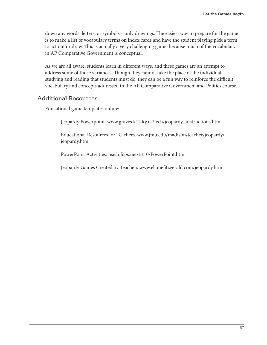down any words, letters, or symbols—only drawings. The easiest way to prepare for the game is to make a list of vocabulary terms on index cards and have the student playing pick a term to act out or draw. This is actually a very challenging game, because much of the vocabulary in AP Comparative Government is conceptual.

As we are all aware, students learn in different ways, and these games are an attempt to address some of those variances. Though they cannot take the place of the individual studying and reading that students must do, they can be a fun way to reinforce the difficult vocabulary and concepts addressed in the AP Comparative Government and Politics course.

#### Additional Resources

Educational game templates online:

Jeopardy Powerpoint. www.graves.k12.ky.us/tech/jeopardy\_instructions.htm

Educational Resources for Teachers. www.jmu.edu/madison/teacher/jeopardy/ jeopardy.htm

PowerPoint Activities. teach.fcps.net/trt10/PowerPoint.htm

Jeopardy Games Created by Teachers www.elainefitzgerald.com/jeopardy.htm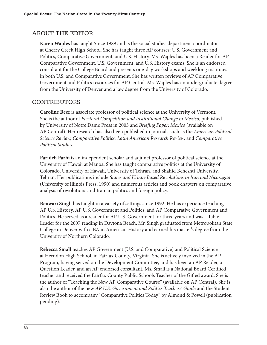# ABOUT THE EDITOR

**Karen Waples** has taught Since 1989 and is the social studies department coordinator at Cherry Creek High School. She has taught three AP courses: U.S. Government and Politics, Comparative Government, and U.S. History. Ms. Waples has been a Reader for AP Comparative Government, U.S. Government, and U.S. History exams. She is an endorsed consultant for the College Board and presents one-day workshops and weeklong institutes in both U.S. and Comparative Government. She has written reviews of AP Comparative Government and Politics resources for AP Central. Ms. Waples has an undergraduate degree from the University of Denver and a law degree from the University of Colorado.

# CONTRIBUTORS

**Caroline Beer** is associate professor of political science at the University of Vermont. She is the author of *Electoral Competition and Institutional Change in Mexico*, published by University of Notre Dame Press in 2003 and *Briefing Paper: Mexico* (available on AP Central). Her research has also been published in journals such as the *American Political Science Review, Comparative Politics, Latin American Research Review,* and *Comparative Political Studies*.

**Farideh Farhi** is an independent scholar and adjunct professor of political science at the University of Hawaii at Manoa. She has taught comparative politics at the University of Colorado, University of Hawaii, University of Tehran, and Shahid Beheshti University, Tehran. Her publications include *States and Urban-Based Revolutions in Iran and Nicaragua* (University of Illinois Press, 1990) and numerous articles and book chapters on comparative analysis of revolutions and Iranian politics and foreign policy.

**Benwari Singh** has taught in a variety of settings since 1992. He has experience teaching AP U.S. History, AP U.S. Government and Politics, and AP Comparative Government and Politics. He served as a reader for AP U.S. Government for three years and was a Table Leader for the 2007 reading in Daytona Beach. Mr. Singh graduated from Metropolitan State College in Denver with a BA in American History and earned his master's degree from the University of Northern Colorado.

**Rebecca Small** teaches AP Government (U.S. and Comparative) and Political Science at Herndon High School, in Fairfax County, Virginia. She is actively involved in the AP Program, having served on the Development Committee, and has been an AP Reader, a Question Leader, and an AP endorsed consultant. Ms. Small is a National Board Certified teacher and received the Fairfax County Public Schools Teacher of the Gifted award. She is the author of "Teaching the New AP Comparative Course" (available on AP Central). She is also the author of the new *AP U.S. Government and Politics Teachers' Guide* and the Student Review Book to accompany "Comparative Politics Today" by Almond & Powell (publication pending).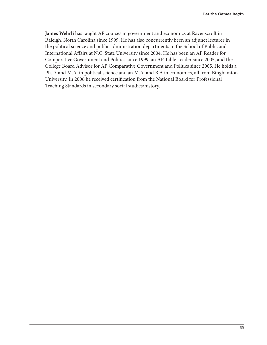James Wehrli has taught AP courses in government and economics at Ravenscroft in Raleigh, North Carolina since 1999. He has also concurrently been an adjunct lecturer in the political science and public administration departments in the School of Public and International Affairs at N.C. State University since 2004. He has been an AP Reader for Comparative Government and Politics since 1999, an AP Table Leader since 2005, and the College Board Advisor for AP Comparative Government and Politics since 2005. He holds a Ph.D. and M.A. in political science and an M.A. and B.A in economics, all from Binghamton University. In 2006 he received certification from the National Board for Professional Teaching Standards in secondary social studies/history.